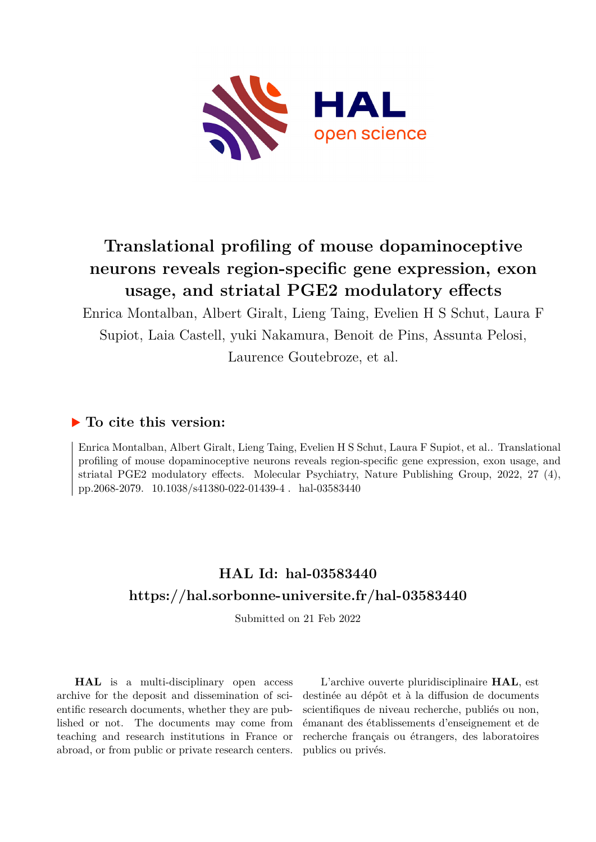

# **Translational profiling of mouse dopaminoceptive neurons reveals region-specific gene expression, exon usage, and striatal PGE2 modulatory effects**

Enrica Montalban, Albert Giralt, Lieng Taing, Evelien H S Schut, Laura F Supiot, Laia Castell, yuki Nakamura, Benoit de Pins, Assunta Pelosi, Laurence Goutebroze, et al.

# **To cite this version:**

Enrica Montalban, Albert Giralt, Lieng Taing, Evelien H S Schut, Laura F Supiot, et al.. Translational profiling of mouse dopaminoceptive neurons reveals region-specific gene expression, exon usage, and striatal PGE2 modulatory effects. Molecular Psychiatry, Nature Publishing Group, 2022, 27 (4), pp.2068-2079. 10.1038/s41380-022-01439-4 hal-03583440

# **HAL Id: hal-03583440 <https://hal.sorbonne-universite.fr/hal-03583440>**

Submitted on 21 Feb 2022

**HAL** is a multi-disciplinary open access archive for the deposit and dissemination of scientific research documents, whether they are published or not. The documents may come from teaching and research institutions in France or abroad, or from public or private research centers.

L'archive ouverte pluridisciplinaire **HAL**, est destinée au dépôt et à la diffusion de documents scientifiques de niveau recherche, publiés ou non, émanant des établissements d'enseignement et de recherche français ou étrangers, des laboratoires publics ou privés.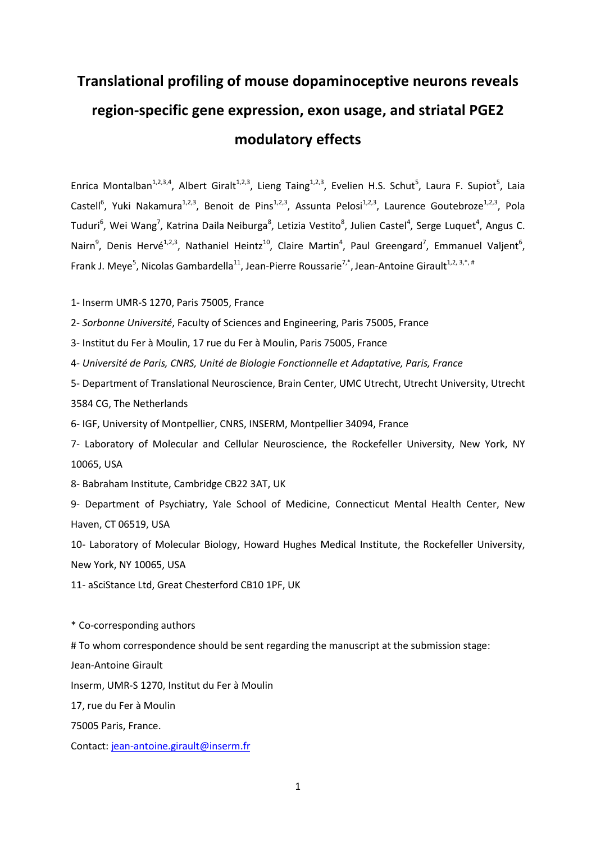# **Translational profiling of mouse dopaminoceptive neurons reveals region-specific gene expression, exon usage, and striatal PGE2 modulatory effects**

Enrica Montalban<sup>1,2,3,4</sup>, Albert Giralt<sup>1,2,3</sup>, Lieng Taing<sup>1,2,3</sup>, Evelien H.S. Schut<sup>5</sup>, Laura F. Supiot<sup>5</sup>, Laia Castell<sup>6</sup>, Yuki Nakamura<sup>1,2,3</sup>, Benoit de Pins<sup>1,2,3</sup>, Assunta Pelosi<sup>1,2,3</sup>, Laurence Goutebroze<sup>1,2,3</sup>, Pola Tuduri<sup>6</sup>, Wei Wang<sup>7</sup>, Katrina Daila Neiburga<sup>8</sup>, Letizia Vestito<sup>8</sup>, Julien Castel<sup>4</sup>, Serge Luquet<sup>4</sup>, Angus C. Nairn<sup>9</sup>, Denis Hervé<sup>1,2,3</sup>, Nathaniel Heintz<sup>10</sup>, Claire Martin<sup>4</sup>, Paul Greengard<sup>7</sup>, Emmanuel Valjent<sup>6</sup>, Frank J. Meye<sup>5</sup>, Nicolas Gambardella<sup>11</sup>, Jean-Pierre Roussarie<sup>7,\*</sup>, Jean-Antoine Girault<sup>1,2, 3,\*, #</sup>

1- Inserm UMR-S 1270, Paris 75005, France

2- *Sorbonne Université*, Faculty of Sciences and Engineering, Paris 75005, France

3- Institut du Fer à Moulin, 17 rue du Fer à Moulin, Paris 75005, France

4- *Université de Paris, CNRS, Unité de Biologie Fonctionnelle et Adaptative, Paris, France*

5- Department of Translational Neuroscience, Brain Center, UMC Utrecht, Utrecht University, Utrecht 3584 CG, The Netherlands

6- IGF, University of Montpellier, CNRS, INSERM, Montpellier 34094, France

7- Laboratory of Molecular and Cellular Neuroscience, the Rockefeller University, New York, NY 10065, USA

8- Babraham Institute, Cambridge CB22 3AT, UK

9- Department of Psychiatry, Yale School of Medicine, Connecticut Mental Health Center, New Haven, CT 06519, USA

10- Laboratory of Molecular Biology, Howard Hughes Medical Institute, the Rockefeller University, New York, NY 10065, USA

11- aSciStance Ltd, Great Chesterford CB10 1PF, UK

\* Co-corresponding authors

# To whom correspondence should be sent regarding the manuscript at the submission stage:

Jean-Antoine Girault

Inserm, UMR-S 1270, Institut du Fer à Moulin

17, rue du Fer à Moulin

75005 Paris, France.

Contact: [jean-antoine.girault@inserm.fr](mailto:jean-antoine.girault@inserm.fr)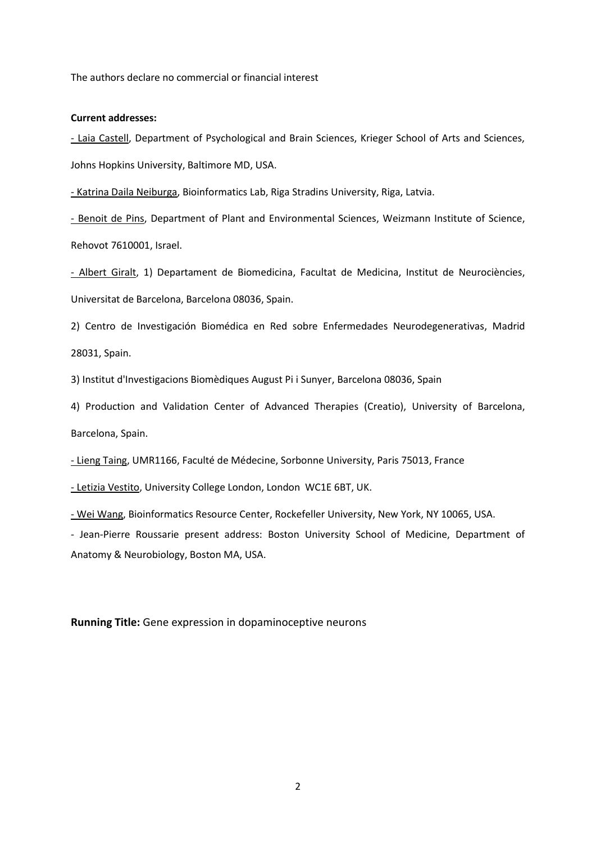The authors declare no commercial or financial interest

#### **Current addresses:**

- Laia Castell, Department of Psychological and Brain Sciences, Krieger School of Arts and Sciences, Johns Hopkins University, Baltimore MD, USA.

- Katrina Daila Neiburga, Bioinformatics Lab, Riga Stradins University, Riga, Latvia.

- Benoit de Pins, Department of Plant and Environmental Sciences, Weizmann Institute of Science, Rehovot 7610001, Israel.

- Albert Giralt, 1) Departament de Biomedicina, Facultat de Medicina, Institut de Neurociències, Universitat de Barcelona, Barcelona 08036, Spain.

2) Centro de Investigación Biomédica en Red sobre Enfermedades Neurodegenerativas, Madrid 28031, Spain.

3) Institut d'Investigacions Biomèdiques August Pi i Sunyer, Barcelona 08036, Spain

4) Production and Validation Center of Advanced Therapies (Creatio), University of Barcelona, Barcelona, Spain.

- Lieng Taing, UMR1166, Faculté de Médecine, Sorbonne University, Paris 75013, France

- Letizia Vestito, University College London, London WC1E 6BT, UK.

- Wei Wang, Bioinformatics Resource Center, Rockefeller University, New York, NY 10065, USA.

- Jean-Pierre Roussarie present address: Boston University School of Medicine, Department of Anatomy & Neurobiology, Boston MA, USA.

**Running Title:** Gene expression in dopaminoceptive neurons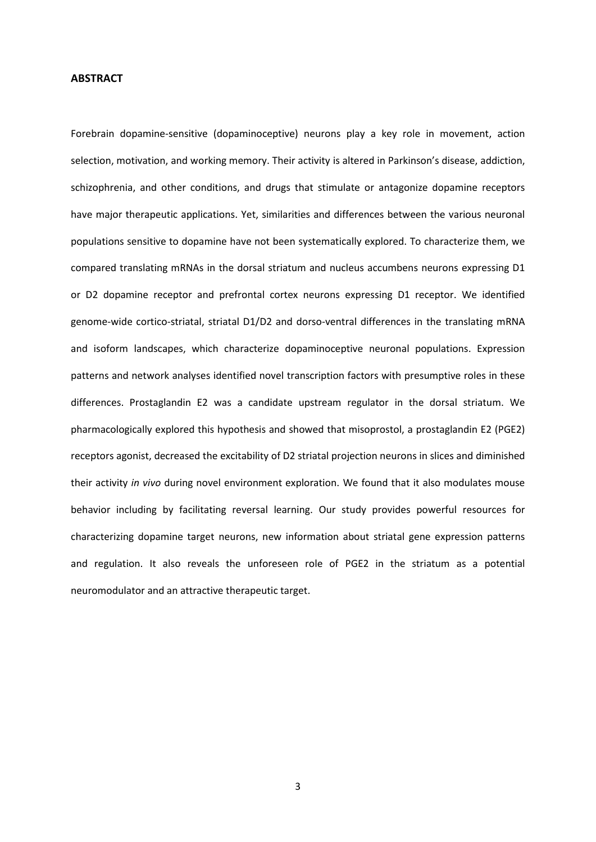#### **ABSTRACT**

Forebrain dopamine-sensitive (dopaminoceptive) neurons play a key role in movement, action selection, motivation, and working memory. Their activity is altered in Parkinson's disease, addiction, schizophrenia, and other conditions, and drugs that stimulate or antagonize dopamine receptors have major therapeutic applications. Yet, similarities and differences between the various neuronal populations sensitive to dopamine have not been systematically explored. To characterize them, we compared translating mRNAs in the dorsal striatum and nucleus accumbens neurons expressing D1 or D2 dopamine receptor and prefrontal cortex neurons expressing D1 receptor. We identified genome-wide cortico-striatal, striatal D1/D2 and dorso-ventral differences in the translating mRNA and isoform landscapes, which characterize dopaminoceptive neuronal populations. Expression patterns and network analyses identified novel transcription factors with presumptive roles in these differences. Prostaglandin E2 was a candidate upstream regulator in the dorsal striatum. We pharmacologically explored this hypothesis and showed that misoprostol, a prostaglandin E2 (PGE2) receptors agonist, decreased the excitability of D2 striatal projection neurons in slices and diminished their activity *in vivo* during novel environment exploration. We found that it also modulates mouse behavior including by facilitating reversal learning. Our study provides powerful resources for characterizing dopamine target neurons, new information about striatal gene expression patterns and regulation. It also reveals the unforeseen role of PGE2 in the striatum as a potential neuromodulator and an attractive therapeutic target.

3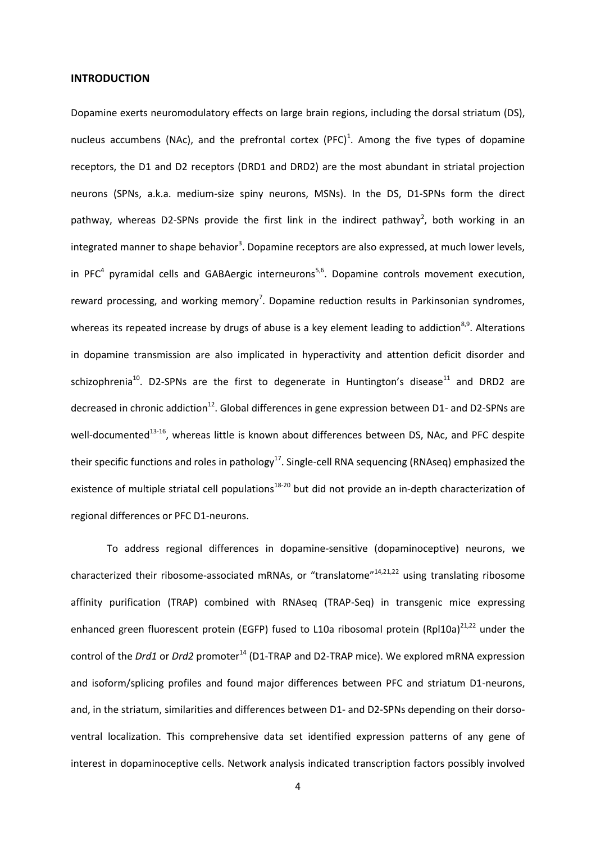#### **INTRODUCTION**

Dopamine exerts neuromodulatory effects on large brain regions, including the dorsal striatum (DS), nucleus accumbens (NAc), and the prefrontal cortex (PFC)<sup>1</sup>. Among the five types of dopamine receptors, the D1 and D2 receptors (DRD1 and DRD2) are the most abundant in striatal projection neurons (SPNs, a.k.a. medium-size spiny neurons, MSNs). In the DS, D1-SPNs form the direct pathway, whereas D2-SPNs provide the first link in the indirect pathway<sup>2</sup>, both working in an integrated manner to shape behavior<sup>3</sup>. Dopamine receptors are also expressed, at much lower levels, in PFC<sup>4</sup> pyramidal cells and GABAergic interneurons<sup>5,6</sup>. Dopamine controls movement execution, reward processing, and working memory<sup>7</sup>. Dopamine reduction results in Parkinsonian syndromes, whereas its repeated increase by drugs of abuse is a key element leading to addiction<sup>8,9</sup>. Alterations in dopamine transmission are also implicated in hyperactivity and attention deficit disorder and schizophrenia<sup>10</sup>. D2-SPNs are the first to degenerate in Huntington's disease<sup>11</sup> and DRD2 are decreased in chronic addiction<sup>12</sup>. Global differences in gene expression between D1- and D2-SPNs are well-documented<sup>13-16</sup>, whereas little is known about differences between DS, NAc, and PFC despite their specific functions and roles in pathology<sup>17</sup>. Single-cell RNA sequencing (RNAseq) emphasized the existence of multiple striatal cell populations<sup>18-20</sup> but did not provide an in-depth characterization of regional differences or PFC D1-neurons.

To address regional differences in dopamine-sensitive (dopaminoceptive) neurons, we characterized their ribosome-associated mRNAs, or "translatome"14,21,22 using translating ribosome affinity purification (TRAP) combined with RNAseq (TRAP-Seq) in transgenic mice expressing enhanced green fluorescent protein (EGFP) fused to L10a ribosomal protein (Rpl10a)<sup>21,22</sup> under the control of the *Drd1* or *Drd2* promoter<sup>14</sup> (D1-TRAP and D2-TRAP mice). We explored mRNA expression and isoform/splicing profiles and found major differences between PFC and striatum D1-neurons, and, in the striatum, similarities and differences between D1- and D2-SPNs depending on their dorsoventral localization. This comprehensive data set identified expression patterns of any gene of interest in dopaminoceptive cells. Network analysis indicated transcription factors possibly involved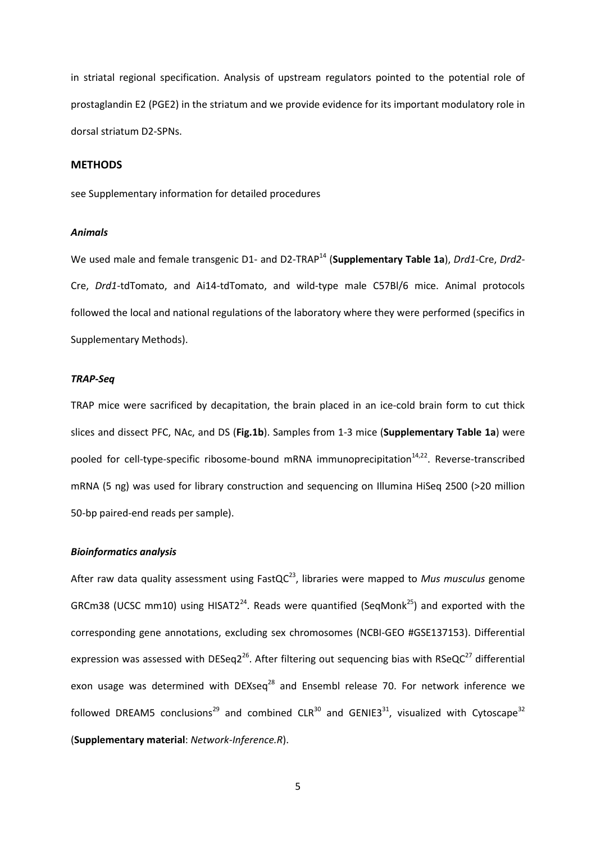in striatal regional specification. Analysis of upstream regulators pointed to the potential role of prostaglandin E2 (PGE2) in the striatum and we provide evidence for its important modulatory role in dorsal striatum D2-SPNs.

#### **METHODS**

see Supplementary information for detailed procedures

#### *Animals*

We used male and female transgenic D1- and D2-TRAP<sup>14</sup> (Supplementary Table 1a), *Drd1-Cre, Drd2-*Cre, *Drd1*-tdTomato, and Ai14-tdTomato, and wild-type male C57Bl/6 mice. Animal protocols followed the local and national regulations of the laboratory where they were performed (specifics in Supplementary Methods).

#### *TRAP-Seq*

TRAP mice were sacrificed by decapitation, the brain placed in an ice-cold brain form to cut thick slices and dissect PFC, NAc, and DS (**Fig.1b**). Samples from 1-3 mice (**Supplementary Table 1a**) were pooled for cell-type-specific ribosome-bound mRNA immunoprecipitation<sup>14,22</sup>. Reverse-transcribed mRNA (5 ng) was used for library construction and sequencing on Illumina HiSeq 2500 (>20 million 50-bp paired-end reads per sample).

#### *Bioinformatics analysis*

After raw data quality assessment using FastQC<sup>23</sup>, libraries were mapped to Mus musculus genome GRCm38 (UCSC mm10) using HISAT2<sup>24</sup>. Reads were quantified (SeqMonk<sup>25</sup>) and exported with the corresponding gene annotations, excluding sex chromosomes (NCBI-GEO #GSE137153). Differential expression was assessed with DESeq2<sup>26</sup>. After filtering out sequencing bias with RSeQC<sup>27</sup> differential exon usage was determined with  $DEXseq^{28}$  and Ensembl release 70. For network inference we followed DREAM5 conclusions<sup>29</sup> and combined CLR<sup>30</sup> and GENIE3<sup>31</sup>, visualized with Cytoscape<sup>32</sup> (**Supplementary material**: *Network-Inference.R*).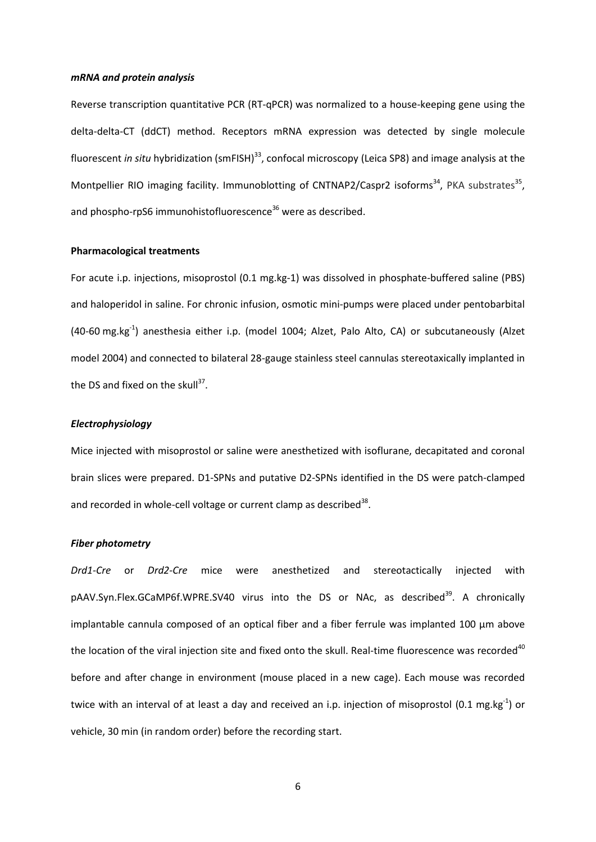#### *mRNA and protein analysis*

Reverse transcription quantitative PCR (RT-qPCR) was normalized to a house-keeping gene using the delta-delta-CT (ddCT) method. Receptors mRNA expression was detected by single molecule fluorescent *in situ* hybridization (smFISH)<sup>33</sup>, confocal microscopy (Leica SP8) and image analysis at the Montpellier RIO imaging facility. Immunoblotting of CNTNAP2/Caspr2 isoforms<sup>34</sup>, PKA substrates<sup>35</sup>, and phospho-rpS6 immunohistofluorescence<sup>36</sup> were as described.

#### **Pharmacological treatments**

For acute i.p. injections, misoprostol (0.1 mg.kg-1) was dissolved in phosphate-buffered saline (PBS) and haloperidol in saline. For chronic infusion, osmotic mini-pumps were placed under pentobarbital (40-60 mg.kg<sup>-1</sup>) anesthesia either i.p. (model 1004; Alzet, Palo Alto, CA) or subcutaneously (Alzet model 2004) and connected to bilateral 28-gauge stainless steel cannulas stereotaxically implanted in the DS and fixed on the skull<sup>37</sup>.

#### *Electrophysiology*

Mice injected with misoprostol or saline were anesthetized with isoflurane, decapitated and coronal brain slices were prepared. D1-SPNs and putative D2-SPNs identified in the DS were patch-clamped and recorded in whole-cell voltage or current clamp as described $^{38}$ .

#### *Fiber photometry*

*Drd1-Cre* or *Drd2-Cre* mice were anesthetized and stereotactically injected with pAAV.Syn.Flex.GCaMP6f.WPRE.SV40 virus into the DS or NAc, as described<sup>39</sup>. A chronically implantable cannula composed of an optical fiber and a fiber ferrule was implanted 100  $\mu$ m above the location of the viral injection site and fixed onto the skull. Real-time fluorescence was recorded<sup>40</sup> before and after change in environment (mouse placed in a new cage). Each mouse was recorded twice with an interval of at least a day and received an i.p. injection of misoprostol (0.1 mg.kg<sup>-1</sup>) or vehicle, 30 min (in random order) before the recording start.

6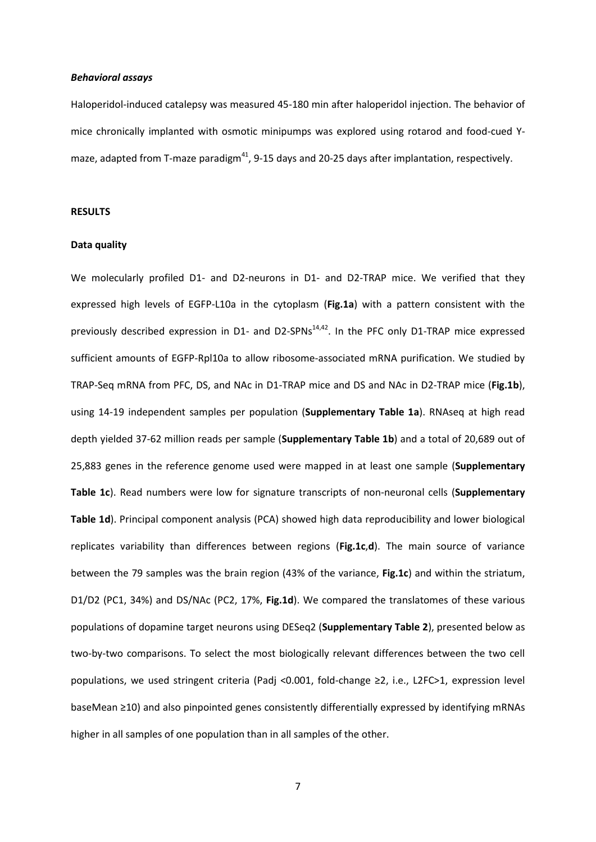#### *Behavioral assays*

Haloperidol-induced catalepsy was measured 45-180 min after haloperidol injection. The behavior of mice chronically implanted with osmotic minipumps was explored using rotarod and food-cued Ymaze, adapted from T-maze paradigm $^{41}$ , 9-15 days and 20-25 days after implantation, respectively.

#### **RESULTS**

#### **Data quality**

We molecularly profiled D1- and D2-neurons in D1- and D2-TRAP mice. We verified that they expressed high levels of EGFP-L10a in the cytoplasm (**Fig.1a**) with a pattern consistent with the previously described expression in D1- and D2-SPNs<sup>14,42</sup>. In the PFC only D1-TRAP mice expressed sufficient amounts of EGFP-Rpl10a to allow ribosome-associated mRNA purification. We studied by TRAP-Seq mRNA from PFC, DS, and NAc in D1-TRAP mice and DS and NAc in D2-TRAP mice (**Fig.1b**), using 14-19 independent samples per population (**Supplementary Table 1a**). RNAseq at high read depth yielded 37-62 million reads per sample (**Supplementary Table 1b**) and a total of 20,689 out of 25,883 genes in the reference genome used were mapped in at least one sample (**Supplementary Table 1c**). Read numbers were low for signature transcripts of non-neuronal cells (**Supplementary Table 1d**). Principal component analysis (PCA) showed high data reproducibility and lower biological replicates variability than differences between regions (**Fig.1c**,**d**). The main source of variance between the 79 samples was the brain region (43% of the variance, **Fig.1c**) and within the striatum, D1/D2 (PC1, 34%) and DS/NAc (PC2, 17%, **Fig.1d**). We compared the translatomes of these various populations of dopamine target neurons using DESeq2 (**Supplementary Table 2**), presented below as two-by-two comparisons. To select the most biologically relevant differences between the two cell populations, we used stringent criteria (Padj <0.001, fold-change ≥2, i.e., L2FC>1, expression level baseMean ≥10) and also pinpointed genes consistently differentially expressed by identifying mRNAs higher in all samples of one population than in all samples of the other.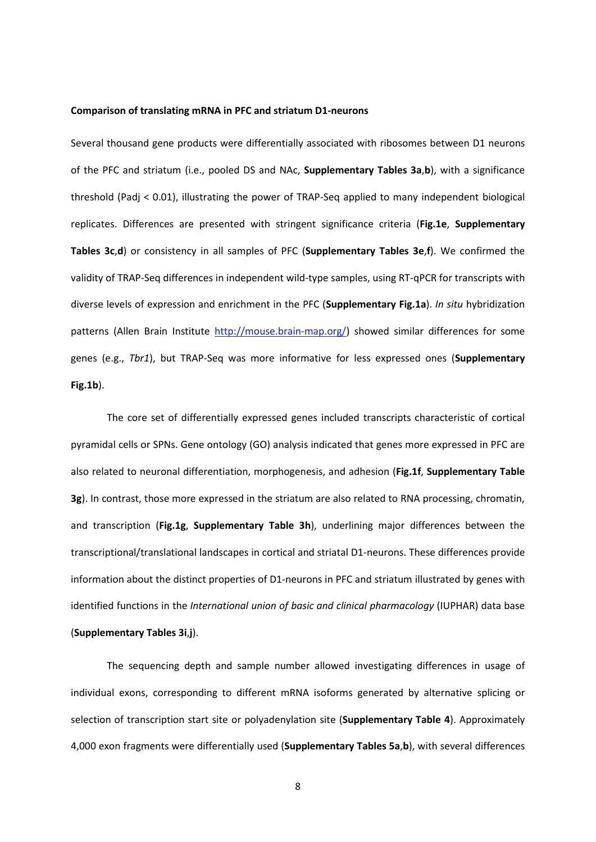#### **Comparison of translating mRNA in PFC and striatum D1-neurons**

Several thousand gene products were differentially associated with ribosomes between D1 neurons of the PFC and striatum (i.e., pooled DS and NAc, **Supplementary Tables 3a**,**b**), with a significance threshold (Padj < 0.01), illustrating the power of TRAP-Seq applied to many independent biological replicates. Differences are presented with stringent significance criteria (**Fig.1e**, **Supplementary Tables 3c**,**d**) or consistency in all samples of PFC (**Supplementary Tables 3e**,**f**). We confirmed the validity of TRAP-Seq differences in independent wild-type samples, using RT-qPCR for transcripts with diverse levels of expression and enrichment in the PFC (**Supplementary Fig.1a**). *In situ* hybridization patterns (Allen Brain Institute [http://mouse.brain-map.org/\)](http://mouse.brain-map.org/) showed similar differences for some genes (e.g., *Tbr1*), but TRAP-Seq was more informative for less expressed ones (**Supplementary Fig.1b**).

The core set of differentially expressed genes included transcripts characteristic of cortical pyramidal cells or SPNs. Gene ontology (GO) analysis indicated that genes more expressed in PFC are also related to neuronal differentiation, morphogenesis, and adhesion (**Fig.1f**, **Supplementary Table 3g**). In contrast, those more expressed in the striatum are also related to RNA processing, chromatin, and transcription (**Fig.1g**, **Supplementary Table 3h**), underlining major differences between the transcriptional/translational landscapes in cortical and striatal D1-neurons. These differences provide information about the distinct properties of D1-neurons in PFC and striatum illustrated by genes with identified functions in the *International union of basic and clinical pharmacology* (IUPHAR) data base (**Supplementary Tables 3i**,**j**).

The sequencing depth and sample number allowed investigating differences in usage of individual exons, corresponding to different mRNA isoforms generated by alternative splicing or selection of transcription start site or polyadenylation site (**Supplementary Table 4**). Approximately 4,000 exon fragments were differentially used (**Supplementary Tables 5a**,**b**), with several differences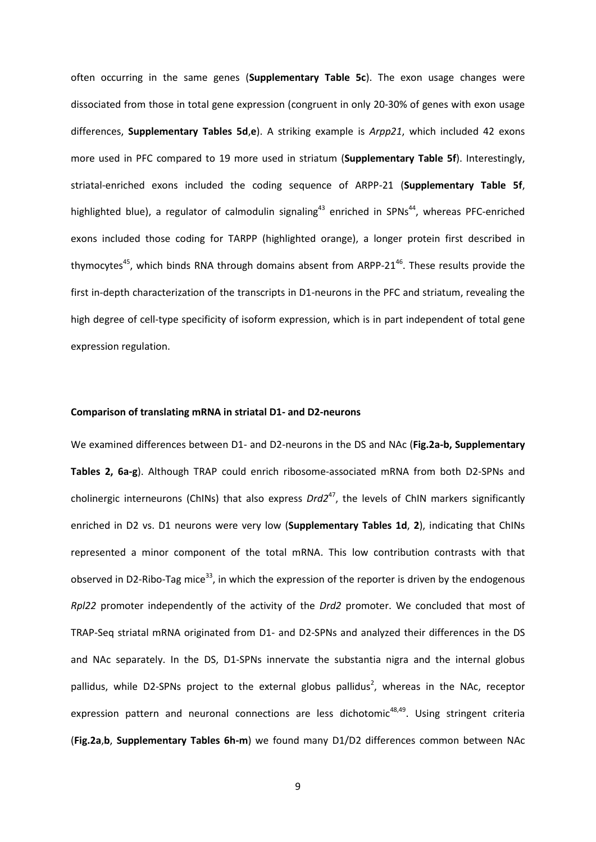often occurring in the same genes (**Supplementary Table 5c**). The exon usage changes were dissociated from those in total gene expression (congruent in only 20-30% of genes with exon usage differences, **Supplementary Tables 5d**,**e**). A striking example is *Arpp21*, which included 42 exons more used in PFC compared to 19 more used in striatum (**Supplementary Table 5f**). Interestingly, striatal-enriched exons included the coding sequence of ARPP-21 (**Supplementary Table 5f**, highlighted blue), a regulator of calmodulin signaling<sup>43</sup> enriched in SPNs<sup>44</sup>, whereas PFC-enriched exons included those coding for TARPP (highlighted orange), a longer protein first described in thymocytes<sup>45</sup>, which binds RNA through domains absent from ARPP-21<sup>46</sup>. These results provide the first in-depth characterization of the transcripts in D1-neurons in the PFC and striatum, revealing the high degree of cell-type specificity of isoform expression, which is in part independent of total gene expression regulation.

#### **Comparison of translating mRNA in striatal D1- and D2-neurons**

We examined differences between D1- and D2-neurons in the DS and NAc (**Fig.2a-b, Supplementary Tables 2, 6a-g**). Although TRAP could enrich ribosome-associated mRNA from both D2-SPNs and cholinergic interneurons (ChINs) that also express *Drd2<sup>47</sup>*, the levels of ChIN markers significantly enriched in D2 vs. D1 neurons were very low (**Supplementary Tables 1d**, **2**), indicating that ChINs represented a minor component of the total mRNA. This low contribution contrasts with that observed in D2-Ribo-Tag mice<sup>33</sup>, in which the expression of the reporter is driven by the endogenous *Rpl22* promoter independently of the activity of the *Drd2* promoter. We concluded that most of TRAP-Seq striatal mRNA originated from D1- and D2-SPNs and analyzed their differences in the DS and NAc separately. In the DS, D1-SPNs innervate the substantia nigra and the internal globus pallidus, while D2-SPNs project to the external globus pallidus<sup>2</sup>, whereas in the NAc, receptor expression pattern and neuronal connections are less dichotomic<sup>48,49</sup>. Using stringent criteria (**Fig.2a**,**b**, **Supplementary Tables 6h-m**) we found many D1/D2 differences common between NAc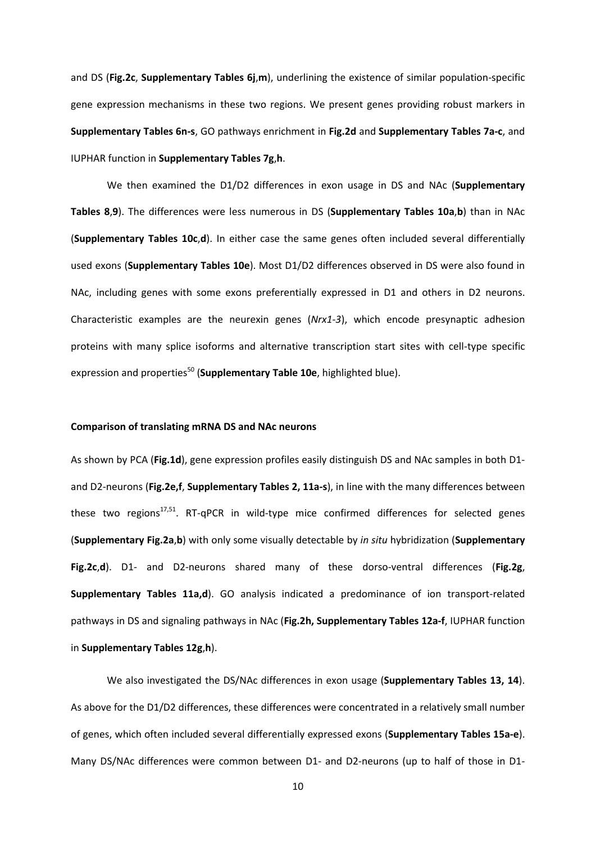and DS (**Fig.2c**, **Supplementary Tables 6j**,**m**), underlining the existence of similar population-specific gene expression mechanisms in these two regions. We present genes providing robust markers in **Supplementary Tables 6n-s**, GO pathways enrichment in **Fig.2d** and **Supplementary Tables 7a-c**, and IUPHAR function in **Supplementary Tables 7g**,**h**.

We then examined the D1/D2 differences in exon usage in DS and NAc (**Supplementary Tables 8**,**9**). The differences were less numerous in DS (**Supplementary Tables 10a**,**b**) than in NAc (**Supplementary Tables 10c**,**d**). In either case the same genes often included several differentially used exons (**Supplementary Tables 10e**). Most D1/D2 differences observed in DS were also found in NAc, including genes with some exons preferentially expressed in D1 and others in D2 neurons. Characteristic examples are the neurexin genes (*Nrx1*-*3*), which encode presynaptic adhesion proteins with many splice isoforms and alternative transcription start sites with cell-type specific expression and properties<sup>50</sup> (**Supplementary Table 10e**, highlighted blue).

#### **Comparison of translating mRNA DS and NAc neurons**

As shown by PCA (**Fig.1d**), gene expression profiles easily distinguish DS and NAc samples in both D1 and D2-neurons (**Fig.2e,f**, **Supplementary Tables 2, 11a-s**), in line with the many differences between these two regions<sup>17,51</sup>. RT-qPCR in wild-type mice confirmed differences for selected genes (**Supplementary Fig.2a**,**b**) with only some visually detectable by *in situ* hybridization (**Supplementary Fig.2c**,**d**). D1- and D2-neurons shared many of these dorso-ventral differences (**Fig.2g**, **Supplementary Tables 11a,d**). GO analysis indicated a predominance of ion transport-related pathways in DS and signaling pathways in NAc (**Fig.2h, Supplementary Tables 12a-f**, IUPHAR function in **Supplementary Tables 12g**,**h**).

We also investigated the DS/NAc differences in exon usage (**Supplementary Tables 13, 14**). As above for the D1/D2 differences, these differences were concentrated in a relatively small number of genes, which often included several differentially expressed exons (**Supplementary Tables 15a-e**). Many DS/NAc differences were common between D1- and D2-neurons (up to half of those in D1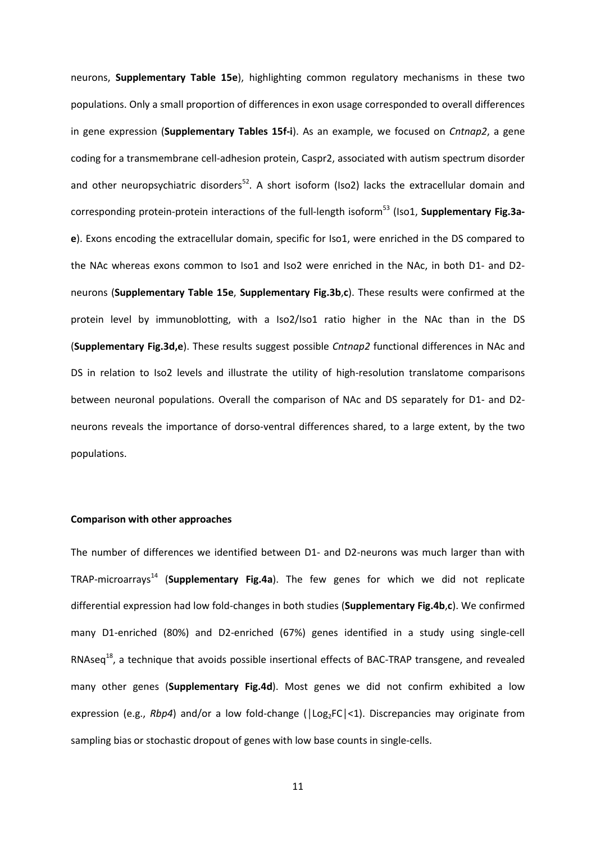neurons, **Supplementary Table 15e**), highlighting common regulatory mechanisms in these two populations. Only a small proportion of differences in exon usage corresponded to overall differences in gene expression (**Supplementary Tables 15f-i**). As an example, we focused on *Cntnap2*, a gene coding for a transmembrane cell-adhesion protein, Caspr2, associated with autism spectrum disorder and other neuropsychiatric disorders<sup>52</sup>. A short isoform (Iso2) lacks the extracellular domain and corresponding protein-protein interactions of the full-length isoform<sup>53</sup> (Iso1, **Supplementary Fig.3ae**). Exons encoding the extracellular domain, specific for Iso1, were enriched in the DS compared to the NAc whereas exons common to Iso1 and Iso2 were enriched in the NAc, in both D1- and D2 neurons (**Supplementary Table 15e**, **Supplementary Fig.3b**,**c**). These results were confirmed at the protein level by immunoblotting, with a Iso2/Iso1 ratio higher in the NAc than in the DS (**Supplementary Fig.3d,e**). These results suggest possible *Cntnap2* functional differences in NAc and DS in relation to Iso2 levels and illustrate the utility of high-resolution translatome comparisons between neuronal populations. Overall the comparison of NAc and DS separately for D1- and D2 neurons reveals the importance of dorso-ventral differences shared, to a large extent, by the two populations.

#### **Comparison with other approaches**

The number of differences we identified between D1- and D2-neurons was much larger than with TRAP-microarrays<sup>14</sup> (**Supplementary Fig.4a**). The few genes for which we did not replicate differential expression had low fold-changes in both studies (**Supplementary Fig.4b**,**c**). We confirmed many D1-enriched (80%) and D2-enriched (67%) genes identified in a study using single-cell RNAseq<sup>18</sup>, a technique that avoids possible insertional effects of BAC-TRAP transgene, and revealed many other genes (**Supplementary Fig.4d**). Most genes we did not confirm exhibited a low expression (e.g., *Rbp4*) and/or a low fold-change ( $|Log_2FC|<1$ ). Discrepancies may originate from sampling bias or stochastic dropout of genes with low base counts in single-cells.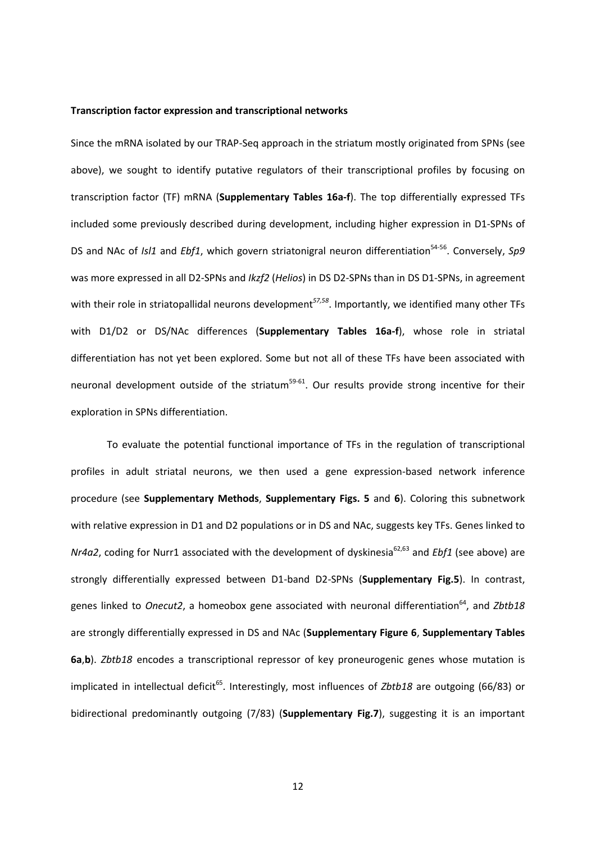#### **Transcription factor expression and transcriptional networks**

Since the mRNA isolated by our TRAP-Seq approach in the striatum mostly originated from SPNs (see above), we sought to identify putative regulators of their transcriptional profiles by focusing on transcription factor (TF) mRNA (**Supplementary Tables 16a-f**). The top differentially expressed TFs included some previously described during development, including higher expression in D1-SPNs of DS and NAc of *Isl1* and *Ebf1*, which govern striatonigral neuron differentiation<sup>54-56</sup>. Conversely, Sp9 was more expressed in all D2-SPNs and *Ikzf2* (*Helios*) in DS D2-SPNs than in DS D1-SPNs, in agreement with their role in striatopallidal neurons development*57,58* . Importantly, we identified many other TFs with D1/D2 or DS/NAc differences (**Supplementary Tables 16a-f**), whose role in striatal differentiation has not yet been explored. Some but not all of these TFs have been associated with neuronal development outside of the striatum<sup>59-61</sup>. Our results provide strong incentive for their exploration in SPNs differentiation.

To evaluate the potential functional importance of TFs in the regulation of transcriptional profiles in adult striatal neurons, we then used a gene expression-based network inference procedure (see **Supplementary Methods**, **Supplementary Figs. 5** and **6**). Coloring this subnetwork with relative expression in D1 and D2 populations or in DS and NAc, suggests key TFs. Genes linked to *Nr4a2*, coding for Nurr1 associated with the development of dyskinesia<sup>62,63</sup> and *Ebf1* (see above) are strongly differentially expressed between D1-band D2-SPNs (**Supplementary Fig.5**). In contrast, genes linked to *Onecut2*, a homeobox gene associated with neuronal differentiation<sup>64</sup>, and Zbtb18 are strongly differentially expressed in DS and NAc (**Supplementary Figure 6**, **Supplementary Tables 6a**,**b**). *Zbtb18* encodes a transcriptional repressor of key proneurogenic genes whose mutation is implicated in intellectual deficit<sup>65</sup>. Interestingly, most influences of *Zbtb18* are outgoing (66/83) or bidirectional predominantly outgoing (7/83) (**Supplementary Fig.7**), suggesting it is an important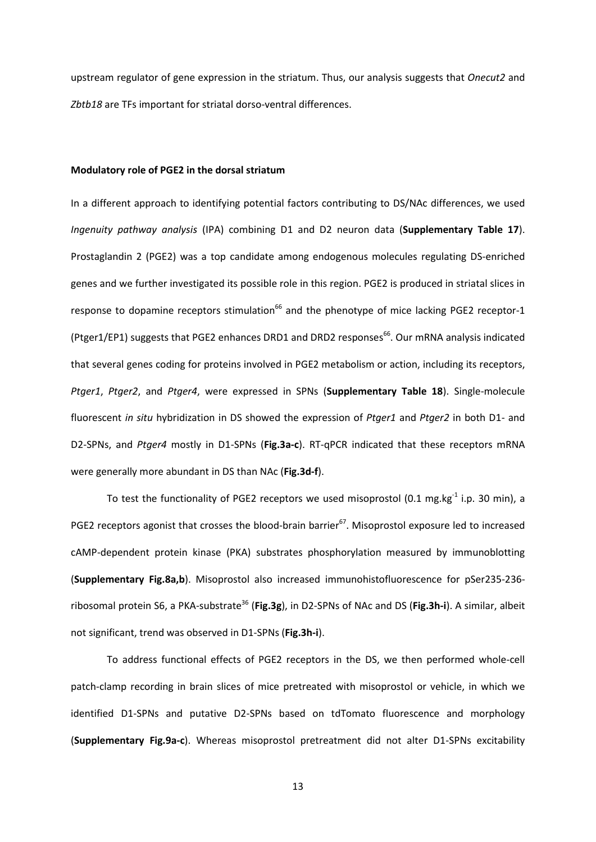upstream regulator of gene expression in the striatum. Thus, our analysis suggests that *Onecut2* and *Zbtb18* are TFs important for striatal dorso-ventral differences.

#### **Modulatory role of PGE2 in the dorsal striatum**

In a different approach to identifying potential factors contributing to DS/NAc differences, we used *Ingenuity pathway analysis* (IPA) combining D1 and D2 neuron data (**Supplementary Table 17**). Prostaglandin 2 (PGE2) was a top candidate among endogenous molecules regulating DS-enriched genes and we further investigated its possible role in this region. PGE2 is produced in striatal slices in response to dopamine receptors stimulation<sup>66</sup> and the phenotype of mice lacking PGE2 receptor-1 (Ptger1/EP1) suggests that PGE2 enhances DRD1 and DRD2 responses<sup>66</sup>. Our mRNA analysis indicated that several genes coding for proteins involved in PGE2 metabolism or action, including its receptors, *Ptger1*, *Ptger2*, and *Ptger4*, were expressed in SPNs (**Supplementary Table 18**). Single-molecule fluorescent *in situ* hybridization in DS showed the expression of *Ptger1* and *Ptger2* in both D1- and D2-SPNs, and *Ptger4* mostly in D1-SPNs (**Fig.3a-c**). RT-qPCR indicated that these receptors mRNA were generally more abundant in DS than NAc (**Fig.3d-f**).

To test the functionality of PGE2 receptors we used misoprostol (0.1 mg.kg<sup>-1</sup> i.p. 30 min), a PGE2 receptors agonist that crosses the blood-brain barrier<sup>67</sup>. Misoprostol exposure led to increased cAMP-dependent protein kinase (PKA) substrates phosphorylation measured by immunoblotting (**Supplementary Fig.8a,b**). Misoprostol also increased immunohistofluorescence for pSer235-236 ribosomal protein S6, a PKA-substrate<sup>36</sup> (Fig.3g), in D2-SPNs of NAc and DS (Fig.3h-i). A similar, albeit not significant, trend was observed in D1-SPNs (**Fig.3h-i**).

To address functional effects of PGE2 receptors in the DS, we then performed whole-cell patch-clamp recording in brain slices of mice pretreated with misoprostol or vehicle, in which we identified D1-SPNs and putative D2-SPNs based on tdTomato fluorescence and morphology (**Supplementary Fig.9a-c**). Whereas misoprostol pretreatment did not alter D1-SPNs excitability

13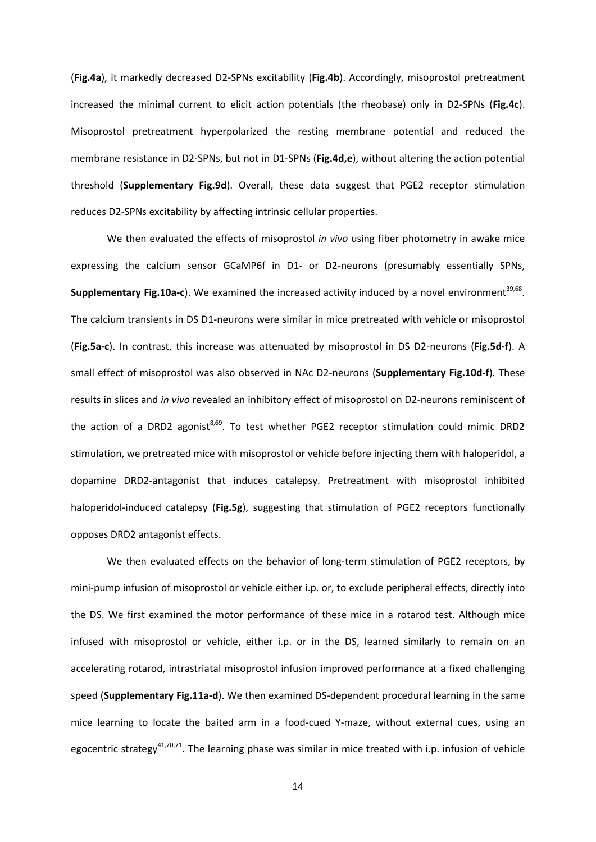(**Fig.4a**), it markedly decreased D2-SPNs excitability (**Fig.4b**). Accordingly, misoprostol pretreatment increased the minimal current to elicit action potentials (the rheobase) only in D2-SPNs (**Fig.4c**). Misoprostol pretreatment hyperpolarized the resting membrane potential and reduced the membrane resistance in D2-SPNs, but not in D1-SPNs (**Fig.4d,e**), without altering the action potential threshold (**Supplementary Fig.9d**). Overall, these data suggest that PGE2 receptor stimulation reduces D2-SPNs excitability by affecting intrinsic cellular properties.

We then evaluated the effects of misoprostol *in vivo* using fiber photometry in awake mice expressing the calcium sensor GCaMP6f in D1- or D2-neurons (presumably essentially SPNs, **Supplementary Fig.10a-c**). We examined the increased activity induced by a novel environment<sup>39,68</sup>. The calcium transients in DS D1-neurons were similar in mice pretreated with vehicle or misoprostol (**Fig.5a-c**). In contrast, this increase was attenuated by misoprostol in DS D2-neurons (**Fig.5d-f**). A small effect of misoprostol was also observed in NAc D2-neurons (**Supplementary Fig.10d-f**). These results in slices and *in vivo* revealed an inhibitory effect of misoprostol on D2-neurons reminiscent of the action of a DRD2 agonist<sup>8,69</sup>. To test whether PGE2 receptor stimulation could mimic DRD2 stimulation, we pretreated mice with misoprostol or vehicle before injecting them with haloperidol, a dopamine DRD2-antagonist that induces catalepsy. Pretreatment with misoprostol inhibited haloperidol-induced catalepsy (**Fig.5g**), suggesting that stimulation of PGE2 receptors functionally opposes DRD2 antagonist effects.

We then evaluated effects on the behavior of long-term stimulation of PGE2 receptors, by mini-pump infusion of misoprostol or vehicle either i.p. or, to exclude peripheral effects, directly into the DS. We first examined the motor performance of these mice in a rotarod test. Although mice infused with misoprostol or vehicle, either i.p. or in the DS, learned similarly to remain on an accelerating rotarod, intrastriatal misoprostol infusion improved performance at a fixed challenging speed (**Supplementary Fig.11a-d**). We then examined DS-dependent procedural learning in the same mice learning to locate the baited arm in a food-cued Y-maze, without external cues, using an egocentric strategy<sup>41,70,71</sup>. The learning phase was similar in mice treated with i.p. infusion of vehicle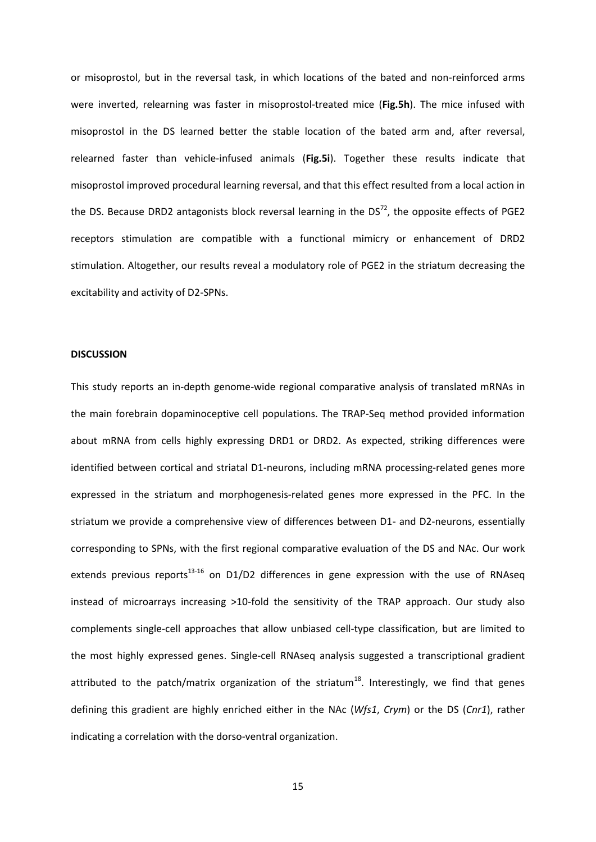or misoprostol, but in the reversal task, in which locations of the bated and non-reinforced arms were inverted, relearning was faster in misoprostol-treated mice (**Fig.5h**). The mice infused with misoprostol in the DS learned better the stable location of the bated arm and, after reversal, relearned faster than vehicle-infused animals (**Fig.5i**). Together these results indicate that misoprostol improved procedural learning reversal, and that this effect resulted from a local action in the DS. Because DRD2 antagonists block reversal learning in the DS<sup>72</sup>, the opposite effects of PGE2 receptors stimulation are compatible with a functional mimicry or enhancement of DRD2 stimulation. Altogether, our results reveal a modulatory role of PGE2 in the striatum decreasing the excitability and activity of D2-SPNs.

#### **DISCUSSION**

This study reports an in-depth genome-wide regional comparative analysis of translated mRNAs in the main forebrain dopaminoceptive cell populations. The TRAP-Seq method provided information about mRNA from cells highly expressing DRD1 or DRD2. As expected, striking differences were identified between cortical and striatal D1-neurons, including mRNA processing-related genes more expressed in the striatum and morphogenesis-related genes more expressed in the PFC. In the striatum we provide a comprehensive view of differences between D1- and D2-neurons, essentially corresponding to SPNs, with the first regional comparative evaluation of the DS and NAc. Our work extends previous reports $^{13\text{-}16}$  on D1/D2 differences in gene expression with the use of RNAseq instead of microarrays increasing >10-fold the sensitivity of the TRAP approach. Our study also complements single-cell approaches that allow unbiased cell-type classification, but are limited to the most highly expressed genes. Single-cell RNAseq analysis suggested a transcriptional gradient attributed to the patch/matrix organization of the striatum<sup>18</sup>. Interestingly, we find that genes defining this gradient are highly enriched either in the NAc (*Wfs1*, *Crym*) or the DS (*Cnr1*), rather indicating a correlation with the dorso-ventral organization.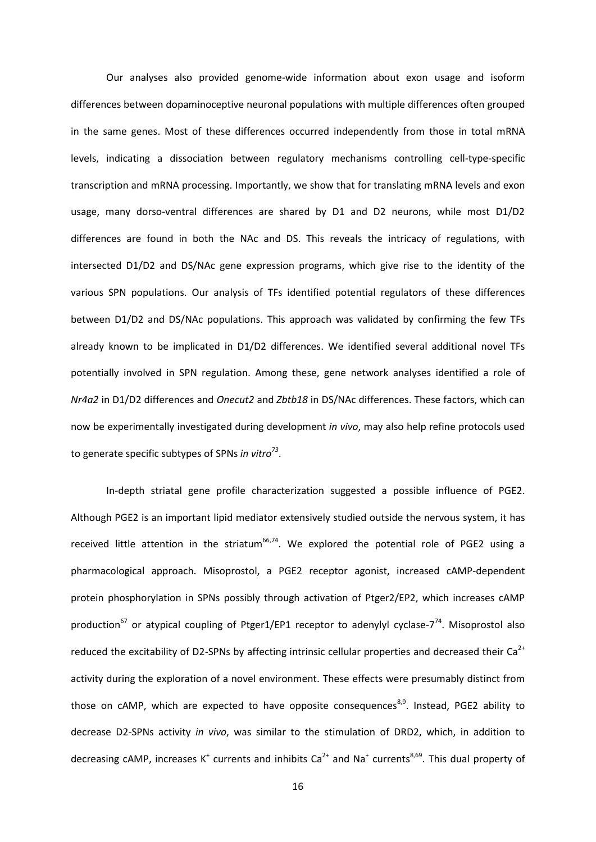Our analyses also provided genome-wide information about exon usage and isoform differences between dopaminoceptive neuronal populations with multiple differences often grouped in the same genes. Most of these differences occurred independently from those in total mRNA levels, indicating a dissociation between regulatory mechanisms controlling cell-type-specific transcription and mRNA processing. Importantly, we show that for translating mRNA levels and exon usage, many dorso-ventral differences are shared by D1 and D2 neurons, while most D1/D2 differences are found in both the NAc and DS. This reveals the intricacy of regulations, with intersected D1/D2 and DS/NAc gene expression programs, which give rise to the identity of the various SPN populations. Our analysis of TFs identified potential regulators of these differences between D1/D2 and DS/NAc populations. This approach was validated by confirming the few TFs already known to be implicated in D1/D2 differences. We identified several additional novel TFs potentially involved in SPN regulation. Among these, gene network analyses identified a role of *Nr4a2* in D1/D2 differences and *Onecut2* and *Zbtb18* in DS/NAc differences. These factors, which can now be experimentally investigated during development *in vivo*, may also help refine protocols used to generate specific subtypes of SPNs *in vitro<sup>73</sup>* .

In-depth striatal gene profile characterization suggested a possible influence of PGE2. Although PGE2 is an important lipid mediator extensively studied outside the nervous system, it has received little attention in the striatum $^{66,74}$ . We explored the potential role of PGE2 using a pharmacological approach. Misoprostol, a PGE2 receptor agonist, increased cAMP-dependent protein phosphorylation in SPNs possibly through activation of Ptger2/EP2, which increases cAMP production<sup>67</sup> or atypical coupling of Ptger1/EP1 receptor to adenylyl cyclase-7<sup>74</sup>. Misoprostol also reduced the excitability of D2-SPNs by affecting intrinsic cellular properties and decreased their Ca<sup>2+</sup> activity during the exploration of a novel environment. These effects were presumably distinct from those on cAMP, which are expected to have opposite consequences<sup>8,9</sup>. Instead, PGE2 ability to decrease D2-SPNs activity *in vivo*, was similar to the stimulation of DRD2, which, in addition to decreasing cAMP, increases K<sup>+</sup> currents and inhibits Ca<sup>2+</sup> and Na<sup>+</sup> currents<sup>8,69</sup>. This dual property of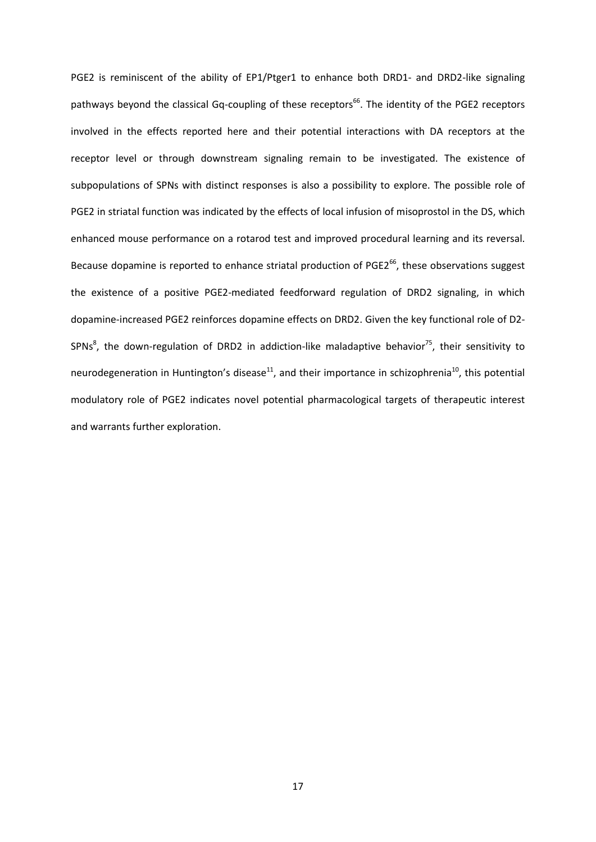PGE2 is reminiscent of the ability of EP1/Ptger1 to enhance both DRD1- and DRD2-like signaling pathways beyond the classical Gq-coupling of these receptors<sup>66</sup>. The identity of the PGE2 receptors involved in the effects reported here and their potential interactions with DA receptors at the receptor level or through downstream signaling remain to be investigated. The existence of subpopulations of SPNs with distinct responses is also a possibility to explore. The possible role of PGE2 in striatal function was indicated by the effects of local infusion of misoprostol in the DS, which enhanced mouse performance on a rotarod test and improved procedural learning and its reversal. Because dopamine is reported to enhance striatal production of PGE2<sup>66</sup>, these observations suggest the existence of a positive PGE2-mediated feedforward regulation of DRD2 signaling, in which dopamine-increased PGE2 reinforces dopamine effects on DRD2. Given the key functional role of D2- SPNs<sup>8</sup>, the down-regulation of DRD2 in addiction-like maladaptive behavior<sup>75</sup>, their sensitivity to neurodegeneration in Huntington's disease<sup>11</sup>, and their importance in schizophrenia<sup>10</sup>, this potential modulatory role of PGE2 indicates novel potential pharmacological targets of therapeutic interest and warrants further exploration.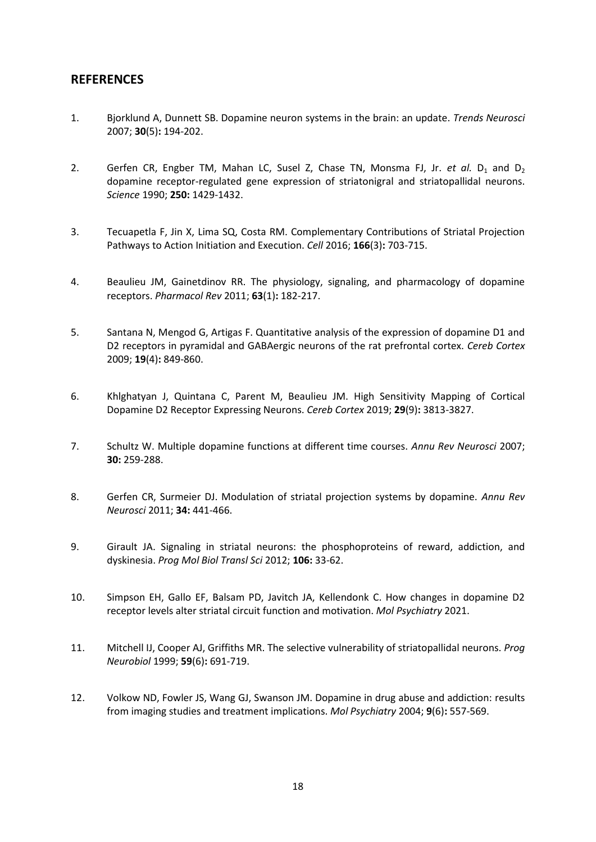# **REFERENCES**

- 1. Bjorklund A, Dunnett SB. Dopamine neuron systems in the brain: an update. *Trends Neurosci* 2007; **30**(5)**:** 194-202.
- 2. Gerfen CR, Engber TM, Mahan LC, Susel Z, Chase TN, Monsma FJ, Jr. *et al.* D<sub>1</sub> and D<sub>2</sub> dopamine receptor-regulated gene expression of striatonigral and striatopallidal neurons. *Science* 1990; **250:** 1429-1432.
- 3. Tecuapetla F, Jin X, Lima SQ, Costa RM. Complementary Contributions of Striatal Projection Pathways to Action Initiation and Execution. *Cell* 2016; **166**(3)**:** 703-715.
- 4. Beaulieu JM, Gainetdinov RR. The physiology, signaling, and pharmacology of dopamine receptors. *Pharmacol Rev* 2011; **63**(1)**:** 182-217.
- 5. Santana N, Mengod G, Artigas F. Quantitative analysis of the expression of dopamine D1 and D2 receptors in pyramidal and GABAergic neurons of the rat prefrontal cortex. *Cereb Cortex* 2009; **19**(4)**:** 849-860.
- 6. Khlghatyan J, Quintana C, Parent M, Beaulieu JM. High Sensitivity Mapping of Cortical Dopamine D2 Receptor Expressing Neurons. *Cereb Cortex* 2019; **29**(9)**:** 3813-3827.
- 7. Schultz W. Multiple dopamine functions at different time courses. *Annu Rev Neurosci* 2007; **30:** 259-288.
- 8. Gerfen CR, Surmeier DJ. Modulation of striatal projection systems by dopamine. *Annu Rev Neurosci* 2011; **34:** 441-466.
- 9. Girault JA. Signaling in striatal neurons: the phosphoproteins of reward, addiction, and dyskinesia. *Prog Mol Biol Transl Sci* 2012; **106:** 33-62.
- 10. Simpson EH, Gallo EF, Balsam PD, Javitch JA, Kellendonk C. How changes in dopamine D2 receptor levels alter striatal circuit function and motivation. *Mol Psychiatry* 2021.
- 11. Mitchell IJ, Cooper AJ, Griffiths MR. The selective vulnerability of striatopallidal neurons. *Prog Neurobiol* 1999; **59**(6)**:** 691-719.
- 12. Volkow ND, Fowler JS, Wang GJ, Swanson JM. Dopamine in drug abuse and addiction: results from imaging studies and treatment implications. *Mol Psychiatry* 2004; **9**(6)**:** 557-569.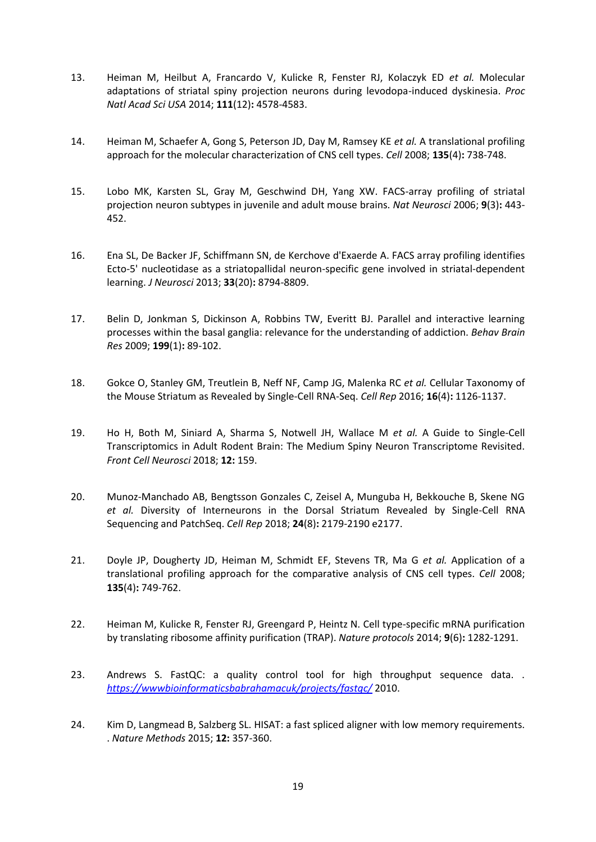- 13. Heiman M, Heilbut A, Francardo V, Kulicke R, Fenster RJ, Kolaczyk ED *et al.* Molecular adaptations of striatal spiny projection neurons during levodopa-induced dyskinesia. *Proc Natl Acad Sci USA* 2014; **111**(12)**:** 4578-4583.
- 14. Heiman M, Schaefer A, Gong S, Peterson JD, Day M, Ramsey KE *et al.* A translational profiling approach for the molecular characterization of CNS cell types. *Cell* 2008; **135**(4)**:** 738-748.
- 15. Lobo MK, Karsten SL, Gray M, Geschwind DH, Yang XW. FACS-array profiling of striatal projection neuron subtypes in juvenile and adult mouse brains. *Nat Neurosci* 2006; **9**(3)**:** 443- 452.
- 16. Ena SL, De Backer JF, Schiffmann SN, de Kerchove d'Exaerde A. FACS array profiling identifies Ecto-5' nucleotidase as a striatopallidal neuron-specific gene involved in striatal-dependent learning. *J Neurosci* 2013; **33**(20)**:** 8794-8809.
- 17. Belin D, Jonkman S, Dickinson A, Robbins TW, Everitt BJ. Parallel and interactive learning processes within the basal ganglia: relevance for the understanding of addiction. *Behav Brain Res* 2009; **199**(1)**:** 89-102.
- 18. Gokce O, Stanley GM, Treutlein B, Neff NF, Camp JG, Malenka RC *et al.* Cellular Taxonomy of the Mouse Striatum as Revealed by Single-Cell RNA-Seq. *Cell Rep* 2016; **16**(4)**:** 1126-1137.
- 19. Ho H, Both M, Siniard A, Sharma S, Notwell JH, Wallace M *et al.* A Guide to Single-Cell Transcriptomics in Adult Rodent Brain: The Medium Spiny Neuron Transcriptome Revisited. *Front Cell Neurosci* 2018; **12:** 159.
- 20. Munoz-Manchado AB, Bengtsson Gonzales C, Zeisel A, Munguba H, Bekkouche B, Skene NG *et al.* Diversity of Interneurons in the Dorsal Striatum Revealed by Single-Cell RNA Sequencing and PatchSeq. *Cell Rep* 2018; **24**(8)**:** 2179-2190 e2177.
- 21. Doyle JP, Dougherty JD, Heiman M, Schmidt EF, Stevens TR, Ma G *et al.* Application of a translational profiling approach for the comparative analysis of CNS cell types. *Cell* 2008; **135**(4)**:** 749-762.
- 22. Heiman M, Kulicke R, Fenster RJ, Greengard P, Heintz N. Cell type-specific mRNA purification by translating ribosome affinity purification (TRAP). *Nature protocols* 2014; **9**(6)**:** 1282-1291.
- 23. Andrews S. FastQC: a quality control tool for high throughput sequence data. . *<https://wwwbioinformaticsbabrahamacuk/projects/fastqc/>* 2010.
- 24. Kim D, Langmead B, Salzberg SL. HISAT: a fast spliced aligner with low memory requirements. . *Nature Methods* 2015; **12:** 357-360.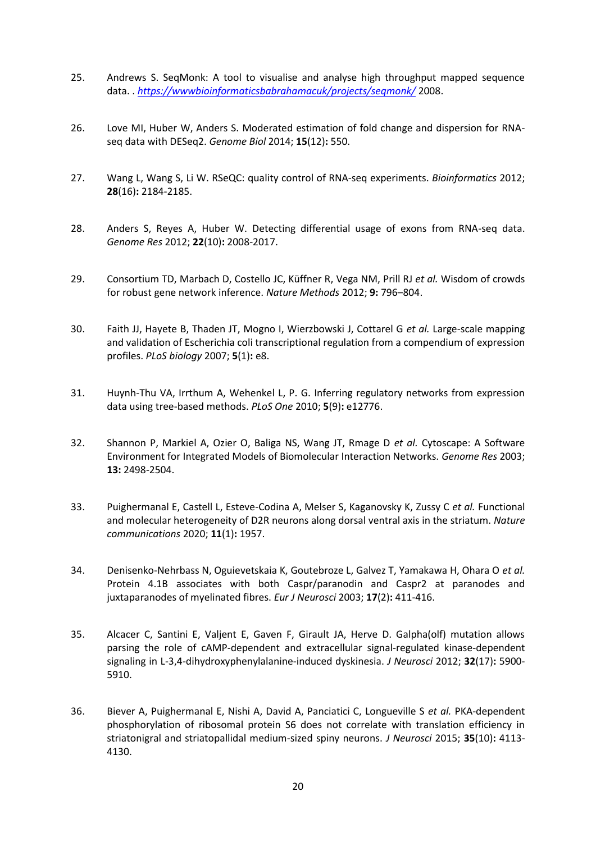- 25. Andrews S. SeqMonk: A tool to visualise and analyse high throughput mapped sequence data. . *<https://wwwbioinformaticsbabrahamacuk/projects/seqmonk/>* 2008.
- 26. Love MI, Huber W, Anders S. Moderated estimation of fold change and dispersion for RNAseq data with DESeq2. *Genome Biol* 2014; **15**(12)**:** 550.
- 27. Wang L, Wang S, Li W. RSeQC: quality control of RNA-seq experiments. *Bioinformatics* 2012; **28**(16)**:** 2184-2185.
- 28. Anders S, Reyes A, Huber W. Detecting differential usage of exons from RNA-seq data. *Genome Res* 2012; **22**(10)**:** 2008-2017.
- 29. Consortium TD, Marbach D, Costello JC, Küffner R, Vega NM, Prill RJ *et al.* Wisdom of crowds for robust gene network inference. *Nature Methods* 2012; **9:** 796–804.
- 30. Faith JJ, Hayete B, Thaden JT, Mogno I, Wierzbowski J, Cottarel G *et al.* Large-scale mapping and validation of Escherichia coli transcriptional regulation from a compendium of expression profiles. *PLoS biology* 2007; **5**(1)**:** e8.
- 31. Huynh-Thu VA, Irrthum A, Wehenkel L, P. G. Inferring regulatory networks from expression data using tree-based methods. *PLoS One* 2010; **5**(9)**:** e12776.
- 32. Shannon P, Markiel A, Ozier O, Baliga NS, Wang JT, Rmage D *et al.* Cytoscape: A Software Environment for Integrated Models of Biomolecular Interaction Networks. *Genome Res* 2003; **13:** 2498-2504.
- 33. Puighermanal E, Castell L, Esteve-Codina A, Melser S, Kaganovsky K, Zussy C *et al.* Functional and molecular heterogeneity of D2R neurons along dorsal ventral axis in the striatum. *Nature communications* 2020; **11**(1)**:** 1957.
- 34. Denisenko-Nehrbass N, Oguievetskaia K, Goutebroze L, Galvez T, Yamakawa H, Ohara O *et al.* Protein 4.1B associates with both Caspr/paranodin and Caspr2 at paranodes and juxtaparanodes of myelinated fibres. *Eur J Neurosci* 2003; **17**(2)**:** 411-416.
- 35. Alcacer C, Santini E, Valjent E, Gaven F, Girault JA, Herve D. Galpha(olf) mutation allows parsing the role of cAMP-dependent and extracellular signal-regulated kinase-dependent signaling in L-3,4-dihydroxyphenylalanine-induced dyskinesia. *J Neurosci* 2012; **32**(17)**:** 5900- 5910.
- 36. Biever A, Puighermanal E, Nishi A, David A, Panciatici C, Longueville S *et al.* PKA-dependent phosphorylation of ribosomal protein S6 does not correlate with translation efficiency in striatonigral and striatopallidal medium-sized spiny neurons. *J Neurosci* 2015; **35**(10)**:** 4113- 4130.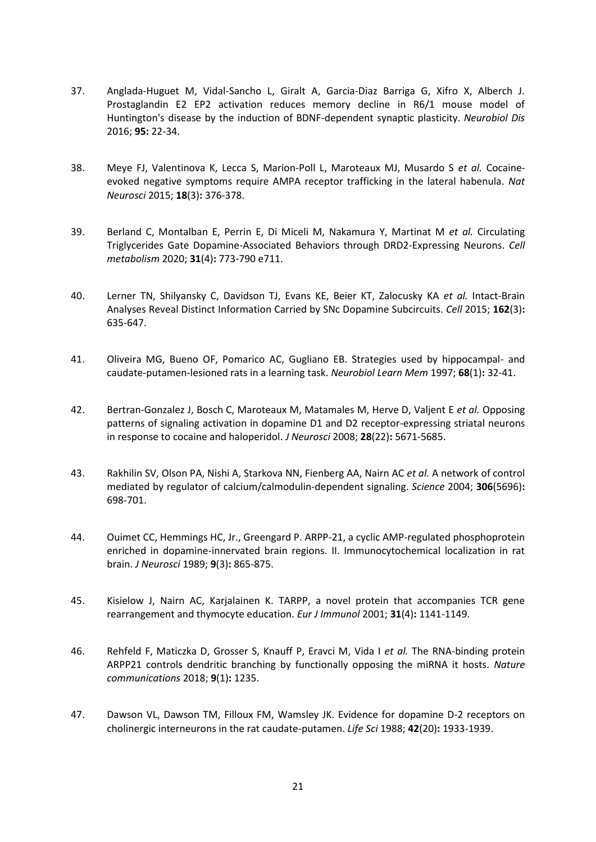- 37. Anglada-Huguet M, Vidal-Sancho L, Giralt A, Garcia-Diaz Barriga G, Xifro X, Alberch J. Prostaglandin E2 EP2 activation reduces memory decline in R6/1 mouse model of Huntington's disease by the induction of BDNF-dependent synaptic plasticity. *Neurobiol Dis* 2016; **95:** 22-34.
- 38. Meye FJ, Valentinova K, Lecca S, Marion-Poll L, Maroteaux MJ, Musardo S *et al.* Cocaineevoked negative symptoms require AMPA receptor trafficking in the lateral habenula. *Nat Neurosci* 2015; **18**(3)**:** 376-378.
- 39. Berland C, Montalban E, Perrin E, Di Miceli M, Nakamura Y, Martinat M *et al.* Circulating Triglycerides Gate Dopamine-Associated Behaviors through DRD2-Expressing Neurons. *Cell metabolism* 2020; **31**(4)**:** 773-790 e711.
- 40. Lerner TN, Shilyansky C, Davidson TJ, Evans KE, Beier KT, Zalocusky KA *et al.* Intact-Brain Analyses Reveal Distinct Information Carried by SNc Dopamine Subcircuits. *Cell* 2015; **162**(3)**:**  635-647.
- 41. Oliveira MG, Bueno OF, Pomarico AC, Gugliano EB. Strategies used by hippocampal- and caudate-putamen-lesioned rats in a learning task. *Neurobiol Learn Mem* 1997; **68**(1)**:** 32-41.
- 42. Bertran-Gonzalez J, Bosch C, Maroteaux M, Matamales M, Herve D, Valjent E *et al.* Opposing patterns of signaling activation in dopamine D1 and D2 receptor-expressing striatal neurons in response to cocaine and haloperidol. *J Neurosci* 2008; **28**(22)**:** 5671-5685.
- 43. Rakhilin SV, Olson PA, Nishi A, Starkova NN, Fienberg AA, Nairn AC *et al.* A network of control mediated by regulator of calcium/calmodulin-dependent signaling. *Science* 2004; **306**(5696)**:**  698-701.
- 44. Ouimet CC, Hemmings HC, Jr., Greengard P. ARPP-21, a cyclic AMP-regulated phosphoprotein enriched in dopamine-innervated brain regions. II. Immunocytochemical localization in rat brain. *J Neurosci* 1989; **9**(3)**:** 865-875.
- 45. Kisielow J, Nairn AC, Karjalainen K. TARPP, a novel protein that accompanies TCR gene rearrangement and thymocyte education. *Eur J Immunol* 2001; **31**(4)**:** 1141-1149.
- 46. Rehfeld F, Maticzka D, Grosser S, Knauff P, Eravci M, Vida I *et al.* The RNA-binding protein ARPP21 controls dendritic branching by functionally opposing the miRNA it hosts. *Nature communications* 2018; **9**(1)**:** 1235.
- 47. Dawson VL, Dawson TM, Filloux FM, Wamsley JK. Evidence for dopamine D-2 receptors on cholinergic interneurons in the rat caudate-putamen. *Life Sci* 1988; **42**(20)**:** 1933-1939.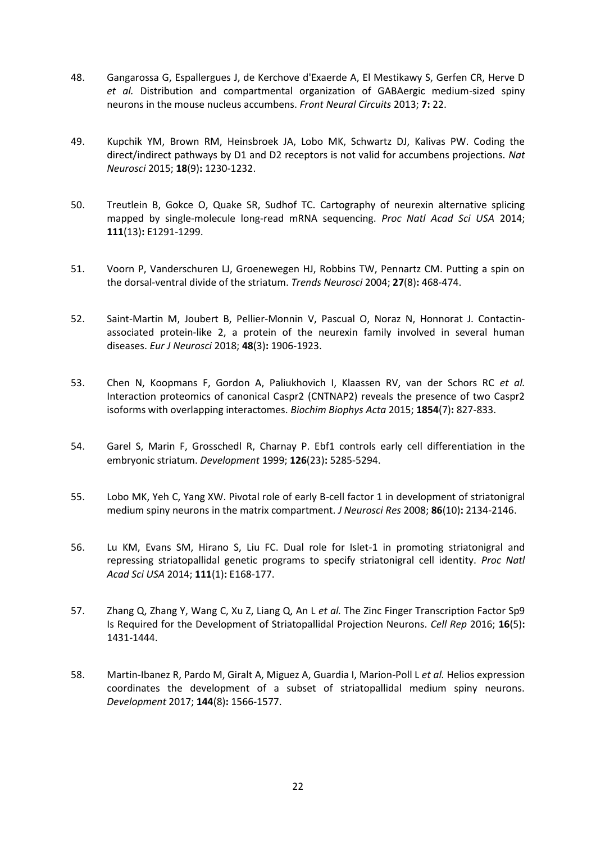- 48. Gangarossa G, Espallergues J, de Kerchove d'Exaerde A, El Mestikawy S, Gerfen CR, Herve D *et al.* Distribution and compartmental organization of GABAergic medium-sized spiny neurons in the mouse nucleus accumbens. *Front Neural Circuits* 2013; **7:** 22.
- 49. Kupchik YM, Brown RM, Heinsbroek JA, Lobo MK, Schwartz DJ, Kalivas PW. Coding the direct/indirect pathways by D1 and D2 receptors is not valid for accumbens projections. *Nat Neurosci* 2015; **18**(9)**:** 1230-1232.
- 50. Treutlein B, Gokce O, Quake SR, Sudhof TC. Cartography of neurexin alternative splicing mapped by single-molecule long-read mRNA sequencing. *Proc Natl Acad Sci USA* 2014; **111**(13)**:** E1291-1299.
- 51. Voorn P, Vanderschuren LJ, Groenewegen HJ, Robbins TW, Pennartz CM. Putting a spin on the dorsal-ventral divide of the striatum. *Trends Neurosci* 2004; **27**(8)**:** 468-474.
- 52. Saint-Martin M, Joubert B, Pellier-Monnin V, Pascual O, Noraz N, Honnorat J. Contactinassociated protein-like 2, a protein of the neurexin family involved in several human diseases. *Eur J Neurosci* 2018; **48**(3)**:** 1906-1923.
- 53. Chen N, Koopmans F, Gordon A, Paliukhovich I, Klaassen RV, van der Schors RC *et al.* Interaction proteomics of canonical Caspr2 (CNTNAP2) reveals the presence of two Caspr2 isoforms with overlapping interactomes. *Biochim Biophys Acta* 2015; **1854**(7)**:** 827-833.
- 54. Garel S, Marin F, Grosschedl R, Charnay P. Ebf1 controls early cell differentiation in the embryonic striatum. *Development* 1999; **126**(23)**:** 5285-5294.
- 55. Lobo MK, Yeh C, Yang XW. Pivotal role of early B-cell factor 1 in development of striatonigral medium spiny neurons in the matrix compartment. *J Neurosci Res* 2008; **86**(10)**:** 2134-2146.
- 56. Lu KM, Evans SM, Hirano S, Liu FC. Dual role for Islet-1 in promoting striatonigral and repressing striatopallidal genetic programs to specify striatonigral cell identity. *Proc Natl Acad Sci USA* 2014; **111**(1)**:** E168-177.
- 57. Zhang Q, Zhang Y, Wang C, Xu Z, Liang Q, An L *et al.* The Zinc Finger Transcription Factor Sp9 Is Required for the Development of Striatopallidal Projection Neurons. *Cell Rep* 2016; **16**(5)**:**  1431-1444.
- 58. Martin-Ibanez R, Pardo M, Giralt A, Miguez A, Guardia I, Marion-Poll L *et al.* Helios expression coordinates the development of a subset of striatopallidal medium spiny neurons. *Development* 2017; **144**(8)**:** 1566-1577.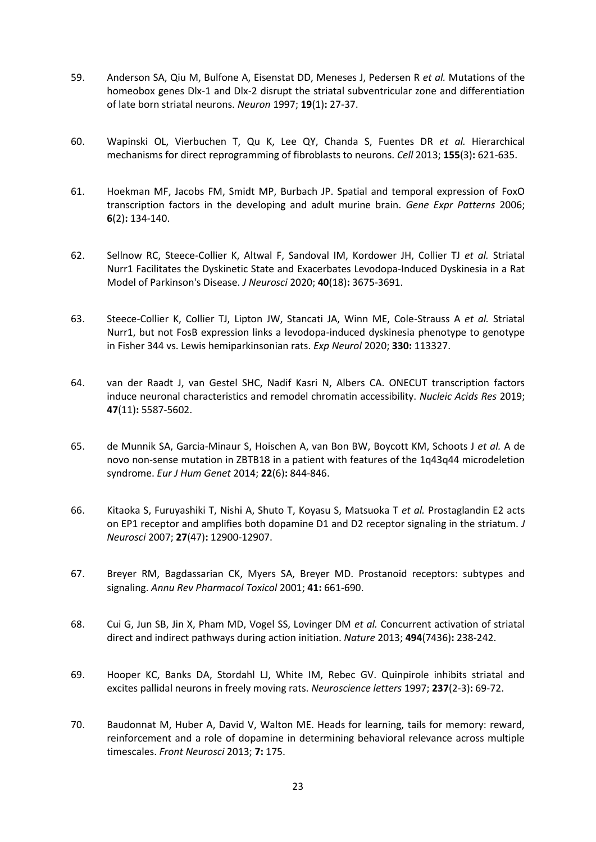- 59. Anderson SA, Qiu M, Bulfone A, Eisenstat DD, Meneses J, Pedersen R *et al.* Mutations of the homeobox genes Dlx-1 and Dlx-2 disrupt the striatal subventricular zone and differentiation of late born striatal neurons. *Neuron* 1997; **19**(1)**:** 27-37.
- 60. Wapinski OL, Vierbuchen T, Qu K, Lee QY, Chanda S, Fuentes DR *et al.* Hierarchical mechanisms for direct reprogramming of fibroblasts to neurons. *Cell* 2013; **155**(3)**:** 621-635.
- 61. Hoekman MF, Jacobs FM, Smidt MP, Burbach JP. Spatial and temporal expression of FoxO transcription factors in the developing and adult murine brain. *Gene Expr Patterns* 2006; **6**(2)**:** 134-140.
- 62. Sellnow RC, Steece-Collier K, Altwal F, Sandoval IM, Kordower JH, Collier TJ *et al.* Striatal Nurr1 Facilitates the Dyskinetic State and Exacerbates Levodopa-Induced Dyskinesia in a Rat Model of Parkinson's Disease. *J Neurosci* 2020; **40**(18)**:** 3675-3691.
- 63. Steece-Collier K, Collier TJ, Lipton JW, Stancati JA, Winn ME, Cole-Strauss A *et al.* Striatal Nurr1, but not FosB expression links a levodopa-induced dyskinesia phenotype to genotype in Fisher 344 vs. Lewis hemiparkinsonian rats. *Exp Neurol* 2020; **330:** 113327.
- 64. van der Raadt J, van Gestel SHC, Nadif Kasri N, Albers CA. ONECUT transcription factors induce neuronal characteristics and remodel chromatin accessibility. *Nucleic Acids Res* 2019; **47**(11)**:** 5587-5602.
- 65. de Munnik SA, Garcia-Minaur S, Hoischen A, van Bon BW, Boycott KM, Schoots J *et al.* A de novo non-sense mutation in ZBTB18 in a patient with features of the 1q43q44 microdeletion syndrome. *Eur J Hum Genet* 2014; **22**(6)**:** 844-846.
- 66. Kitaoka S, Furuyashiki T, Nishi A, Shuto T, Koyasu S, Matsuoka T *et al.* Prostaglandin E2 acts on EP1 receptor and amplifies both dopamine D1 and D2 receptor signaling in the striatum. *J Neurosci* 2007; **27**(47)**:** 12900-12907.
- 67. Breyer RM, Bagdassarian CK, Myers SA, Breyer MD. Prostanoid receptors: subtypes and signaling. *Annu Rev Pharmacol Toxicol* 2001; **41:** 661-690.
- 68. Cui G, Jun SB, Jin X, Pham MD, Vogel SS, Lovinger DM *et al.* Concurrent activation of striatal direct and indirect pathways during action initiation. *Nature* 2013; **494**(7436)**:** 238-242.
- 69. Hooper KC, Banks DA, Stordahl LJ, White IM, Rebec GV. Quinpirole inhibits striatal and excites pallidal neurons in freely moving rats. *Neuroscience letters* 1997; **237**(2-3)**:** 69-72.
- 70. Baudonnat M, Huber A, David V, Walton ME. Heads for learning, tails for memory: reward, reinforcement and a role of dopamine in determining behavioral relevance across multiple timescales. *Front Neurosci* 2013; **7:** 175.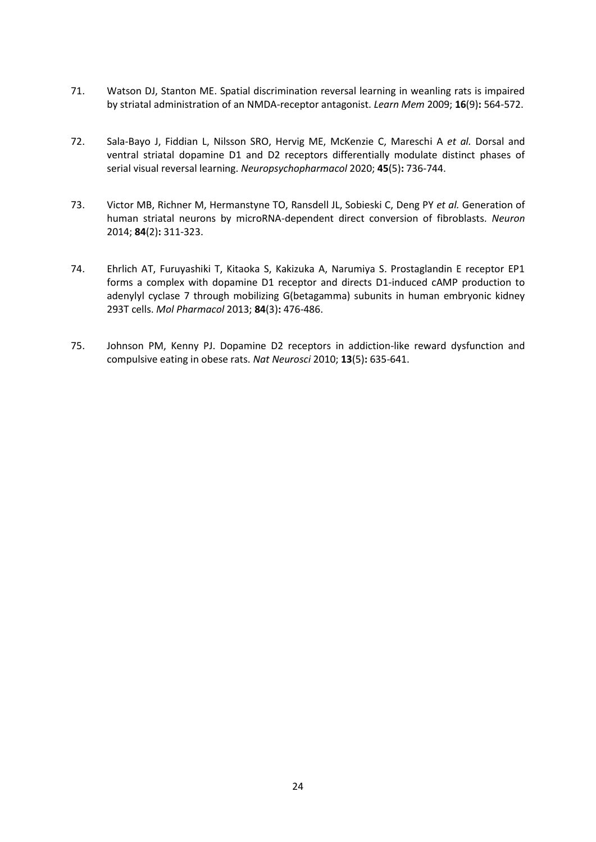- 71. Watson DJ, Stanton ME. Spatial discrimination reversal learning in weanling rats is impaired by striatal administration of an NMDA-receptor antagonist. *Learn Mem* 2009; **16**(9)**:** 564-572.
- 72. Sala-Bayo J, Fiddian L, Nilsson SRO, Hervig ME, McKenzie C, Mareschi A *et al.* Dorsal and ventral striatal dopamine D1 and D2 receptors differentially modulate distinct phases of serial visual reversal learning. *Neuropsychopharmacol* 2020; **45**(5)**:** 736-744.
- 73. Victor MB, Richner M, Hermanstyne TO, Ransdell JL, Sobieski C, Deng PY *et al.* Generation of human striatal neurons by microRNA-dependent direct conversion of fibroblasts. *Neuron* 2014; **84**(2)**:** 311-323.
- 74. Ehrlich AT, Furuyashiki T, Kitaoka S, Kakizuka A, Narumiya S. Prostaglandin E receptor EP1 forms a complex with dopamine D1 receptor and directs D1-induced cAMP production to adenylyl cyclase 7 through mobilizing G(betagamma) subunits in human embryonic kidney 293T cells. *Mol Pharmacol* 2013; **84**(3)**:** 476-486.
- 75. Johnson PM, Kenny PJ. Dopamine D2 receptors in addiction-like reward dysfunction and compulsive eating in obese rats. *Nat Neurosci* 2010; **13**(5)**:** 635-641.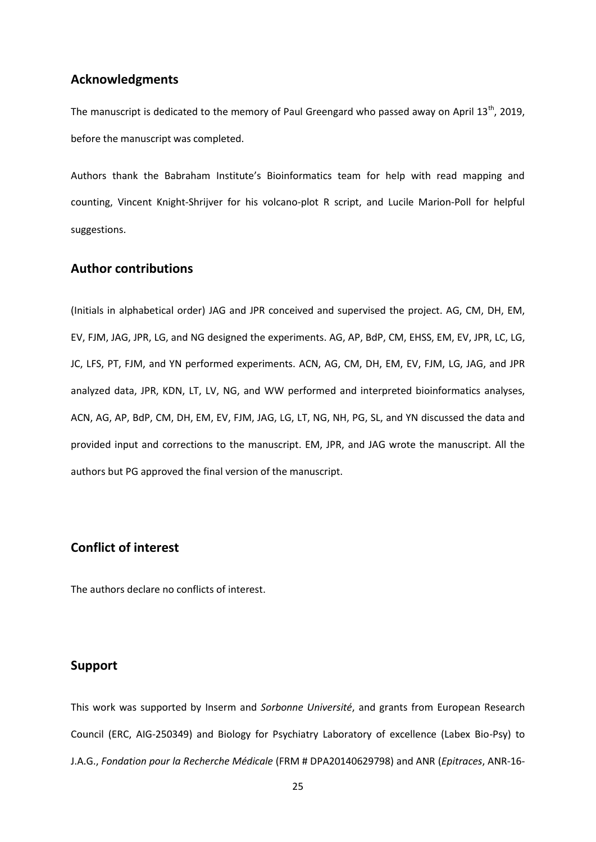## **Acknowledgments**

The manuscript is dedicated to the memory of Paul Greengard who passed away on April  $13<sup>th</sup>$ , 2019, before the manuscript was completed.

Authors thank the Babraham Institute's Bioinformatics team for help with read mapping and counting, Vincent Knight-Shrijver for his volcano-plot R script, and Lucile Marion-Poll for helpful suggestions.

## **Author contributions**

(Initials in alphabetical order) JAG and JPR conceived and supervised the project. AG, CM, DH, EM, EV, FJM, JAG, JPR, LG, and NG designed the experiments. AG, AP, BdP, CM, EHSS, EM, EV, JPR, LC, LG, JC, LFS, PT, FJM, and YN performed experiments. ACN, AG, CM, DH, EM, EV, FJM, LG, JAG, and JPR analyzed data, JPR, KDN, LT, LV, NG, and WW performed and interpreted bioinformatics analyses, ACN, AG, AP, BdP, CM, DH, EM, EV, FJM, JAG, LG, LT, NG, NH, PG, SL, and YN discussed the data and provided input and corrections to the manuscript. EM, JPR, and JAG wrote the manuscript. All the authors but PG approved the final version of the manuscript.

## **Conflict of interest**

The authors declare no conflicts of interest.

## **Support**

This work was supported by Inserm and *Sorbonne Université*, and grants from European Research Council (ERC, AIG-250349) and Biology for Psychiatry Laboratory of excellence (Labex Bio-Psy) to J.A.G., *Fondation pour la Recherche Médicale* (FRM # DPA20140629798) and ANR (*Epitraces*, ANR-16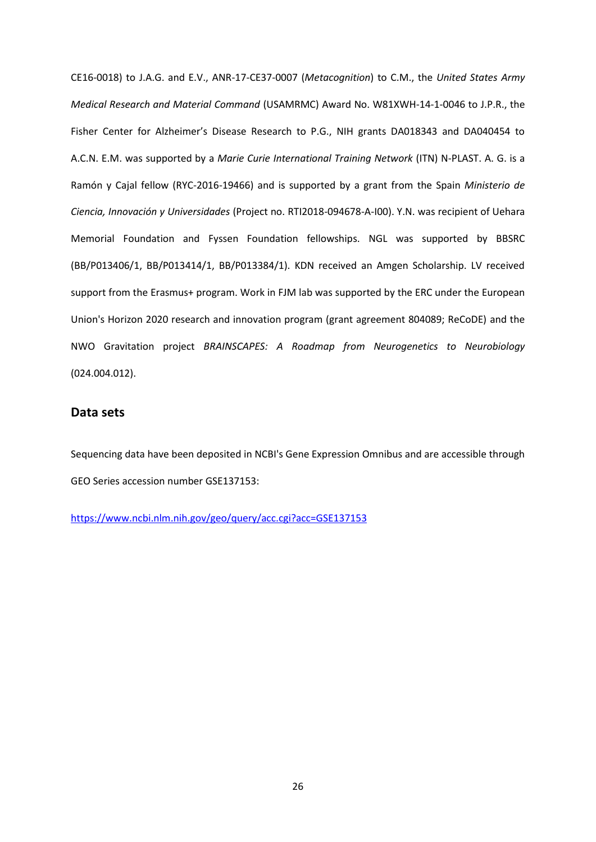CE16-0018) to J.A.G. and E.V., ANR-17-CE37-0007 (*Metacognition*) to C.M., the *United States Army Medical Research and Material Command* (USAMRMC) Award No. W81XWH-14-1-0046 to J.P.R., the Fisher Center for Alzheimer's Disease Research to P.G., NIH grants DA018343 and DA040454 to A.C.N. E.M. was supported by a *Marie Curie International Training Network* (ITN) N-PLAST. A. G. is a Ramón y Cajal fellow (RYC-2016-19466) and is supported by a grant from the Spain *Ministerio de Ciencia, Innovación y Universidades* (Project no. RTI2018-094678-A-I00). Y.N. was recipient of Uehara Memorial Foundation and Fyssen Foundation fellowships. NGL was supported by BBSRC (BB/P013406/1, BB/P013414/1, BB/P013384/1). KDN received an Amgen Scholarship. LV received support from the Erasmus+ program. Work in FJM lab was supported by the ERC under the European Union's Horizon 2020 research and innovation program (grant agreement 804089; ReCoDE) and the NWO Gravitation project *BRAINSCAPES: A Roadmap from Neurogenetics to Neurobiology* (024.004.012).

## **Data sets**

Sequencing data have been deposited in NCBI's Gene Expression Omnibus and are accessible through GEO Series accession number GSE137153:

<https://www.ncbi.nlm.nih.gov/geo/query/acc.cgi?acc=GSE137153>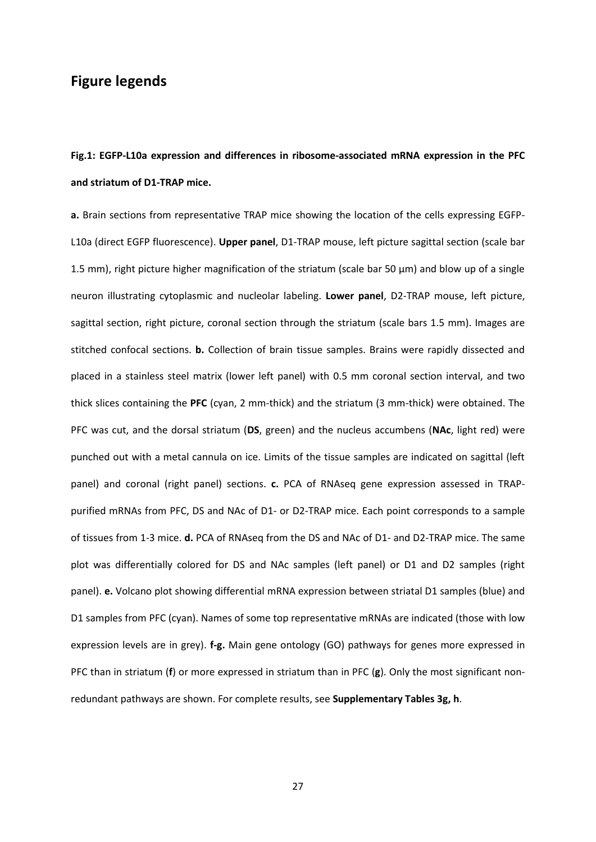# **Figure legends**

# **Fig.1: EGFP-L10a expression and differences in ribosome-associated mRNA expression in the PFC and striatum of D1-TRAP mice.**

**a.** Brain sections from representative TRAP mice showing the location of the cells expressing EGFP-L10a (direct EGFP fluorescence). **Upper panel**, D1-TRAP mouse, left picture sagittal section (scale bar 1.5 mm), right picture higher magnification of the striatum (scale bar 50 µm) and blow up of a single neuron illustrating cytoplasmic and nucleolar labeling. **Lower panel**, D2-TRAP mouse, left picture, sagittal section, right picture, coronal section through the striatum (scale bars 1.5 mm). Images are stitched confocal sections. **b.** Collection of brain tissue samples. Brains were rapidly dissected and placed in a stainless steel matrix (lower left panel) with 0.5 mm coronal section interval, and two thick slices containing the **PFC** (cyan, 2 mm-thick) and the striatum (3 mm-thick) were obtained. The PFC was cut, and the dorsal striatum (**DS**, green) and the nucleus accumbens (**NAc**, light red) were punched out with a metal cannula on ice. Limits of the tissue samples are indicated on sagittal (left panel) and coronal (right panel) sections. **c.** PCA of RNAseq gene expression assessed in TRAPpurified mRNAs from PFC, DS and NAc of D1- or D2-TRAP mice. Each point corresponds to a sample of tissues from 1-3 mice. **d.** PCA of RNAseq from the DS and NAc of D1- and D2-TRAP mice. The same plot was differentially colored for DS and NAc samples (left panel) or D1 and D2 samples (right panel). **e.** Volcano plot showing differential mRNA expression between striatal D1 samples (blue) and D1 samples from PFC (cyan). Names of some top representative mRNAs are indicated (those with low expression levels are in grey). **f-g.** Main gene ontology (GO) pathways for genes more expressed in PFC than in striatum (**f**) or more expressed in striatum than in PFC (**g**). Only the most significant nonredundant pathways are shown. For complete results, see **Supplementary Tables 3g, h**.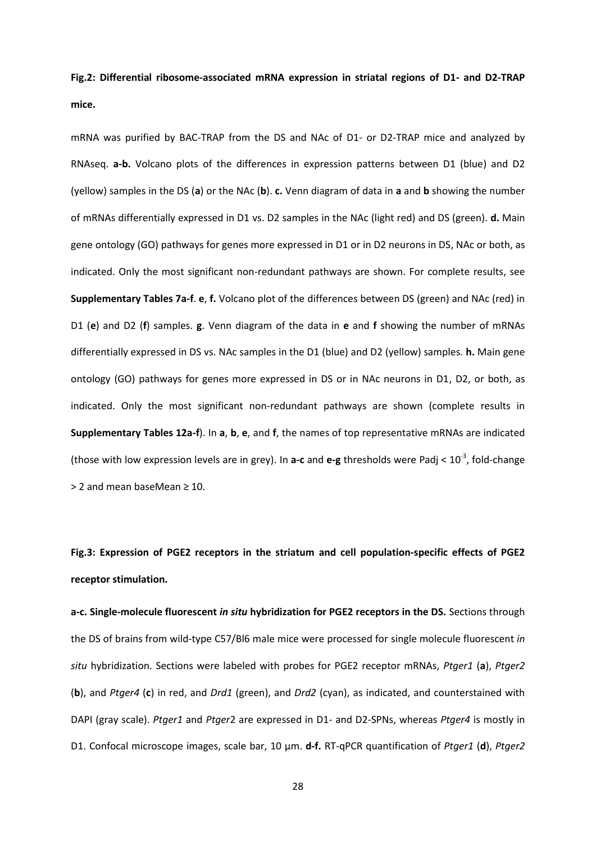**Fig.2: Differential ribosome-associated mRNA expression in striatal regions of D1- and D2-TRAP mice.**

mRNA was purified by BAC-TRAP from the DS and NAc of D1- or D2-TRAP mice and analyzed by RNAseq. **a-b.** Volcano plots of the differences in expression patterns between D1 (blue) and D2 (yellow) samples in the DS (**a**) or the NAc (**b**). **c.** Venn diagram of data in **a** and **b** showing the number of mRNAs differentially expressed in D1 vs. D2 samples in the NAc (light red) and DS (green). **d.** Main gene ontology (GO) pathways for genes more expressed in D1 or in D2 neurons in DS, NAc or both, as indicated. Only the most significant non-redundant pathways are shown. For complete results, see **Supplementary Tables 7a-f**. **e**, **f.** Volcano plot of the differences between DS (green) and NAc (red) in D1 (**e**) and D2 (**f**) samples. **g**. Venn diagram of the data in **e** and **f** showing the number of mRNAs differentially expressed in DS vs. NAc samples in the D1 (blue) and D2 (yellow) samples. **h.** Main gene ontology (GO) pathways for genes more expressed in DS or in NAc neurons in D1, D2, or both, as indicated. Only the most significant non-redundant pathways are shown (complete results in **Supplementary Tables 12a-f**). In **a**, **b**, **e**, and **f**, the names of top representative mRNAs are indicated (those with low expression levels are in grey). In **a-c** and **e-g** thresholds were Padj < 10-3 , fold-change > 2 and mean baseMean ≥ 10.

**Fig.3: Expression of PGE2 receptors in the striatum and cell population-specific effects of PGE2 receptor stimulation.**

**a-c. Single-molecule fluorescent** *in situ* **hybridization for PGE2 receptors in the DS.** Sections through the DS of brains from wild-type C57/Bl6 male mice were processed for single molecule fluorescent *in situ* hybridization. Sections were labeled with probes for PGE2 receptor mRNAs, *Ptger1* (**a**), *Ptger2* (**b**), and *Ptger4* (**c**) in red, and *Drd1* (green), and *Drd2* (cyan), as indicated, and counterstained with DAPI (gray scale). *Ptger1* and *Ptger*2 are expressed in D1- and D2-SPNs, whereas *Ptger4* is mostly in D1. Confocal microscope images, scale bar, 10 µm. **d-f.** RT-qPCR quantification of *Ptger1* (**d**), *Ptger2*

28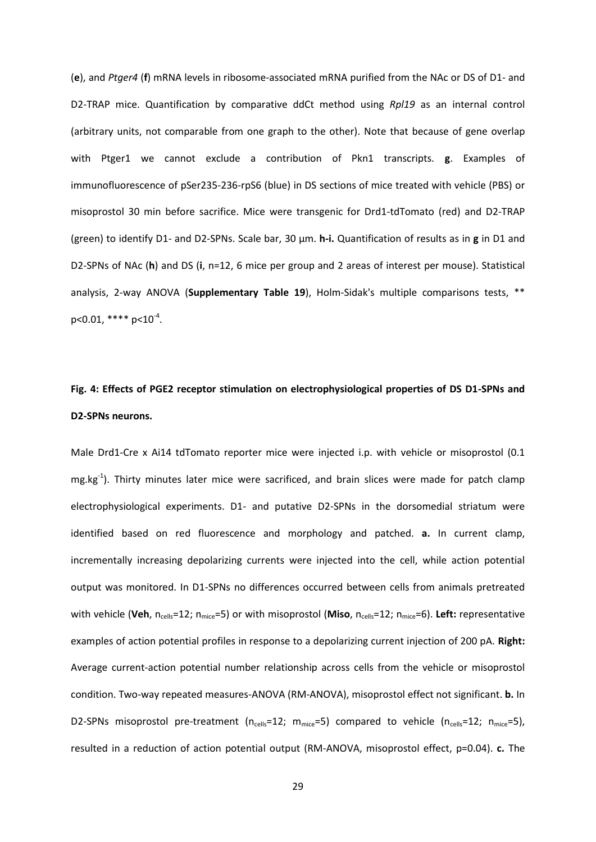(**e**), and *Ptger4* (**f**) mRNA levels in ribosome-associated mRNA purified from the NAc or DS of D1- and D2-TRAP mice. Quantification by comparative ddCt method using *Rpl19* as an internal control (arbitrary units, not comparable from one graph to the other). Note that because of gene overlap with Ptger1 we cannot exclude a contribution of Pkn1 transcripts. **g**. Examples of immunofluorescence of pSer235-236-rpS6 (blue) in DS sections of mice treated with vehicle (PBS) or misoprostol 30 min before sacrifice. Mice were transgenic for Drd1-tdTomato (red) and D2-TRAP (green) to identify D1- and D2-SPNs. Scale bar, 30 µm. **h-i.** Quantification of results as in **g** in D1 and D2-SPNs of NAc (**h**) and DS (**i**, n=12, 6 mice per group and 2 areas of interest per mouse). Statistical analysis, 2-way ANOVA (**Supplementary Table 19**), Holm-Sidak's multiple comparisons tests, \*\* p<0.01, \*\*\*\*  $p<10^{-4}$ .

# **Fig. 4: Effects of PGE2 receptor stimulation on electrophysiological properties of DS D1-SPNs and D2-SPNs neurons.**

Male Drd1-Cre x Ai14 tdTomato reporter mice were injected i.p. with vehicle or misoprostol (0.1 mg.kg<sup>-1</sup>). Thirty minutes later mice were sacrificed, and brain slices were made for patch clamp electrophysiological experiments. D1- and putative D2-SPNs in the dorsomedial striatum were identified based on red fluorescence and morphology and patched. **a.** In current clamp, incrementally increasing depolarizing currents were injected into the cell, while action potential output was monitored. In D1-SPNs no differences occurred between cells from animals pretreated with vehicle (Veh, n<sub>cells</sub>=12; n<sub>mice</sub>=5) or with misoprostol (Miso, n<sub>cells</sub>=12; n<sub>mice</sub>=6). Left: representative examples of action potential profiles in response to a depolarizing current injection of 200 pA. **Right:** Average current-action potential number relationship across cells from the vehicle or misoprostol condition. Two-way repeated measures-ANOVA (RM-ANOVA), misoprostol effect not significant. **b.** In D2-SPNs misoprostol pre-treatment ( $n_{cells}=12$ ;  $m_{mice}=5$ ) compared to vehicle ( $n_{cells}=12$ ;  $n_{mice}=5$ ), resulted in a reduction of action potential output (RM-ANOVA, misoprostol effect, p=0.04). **c.** The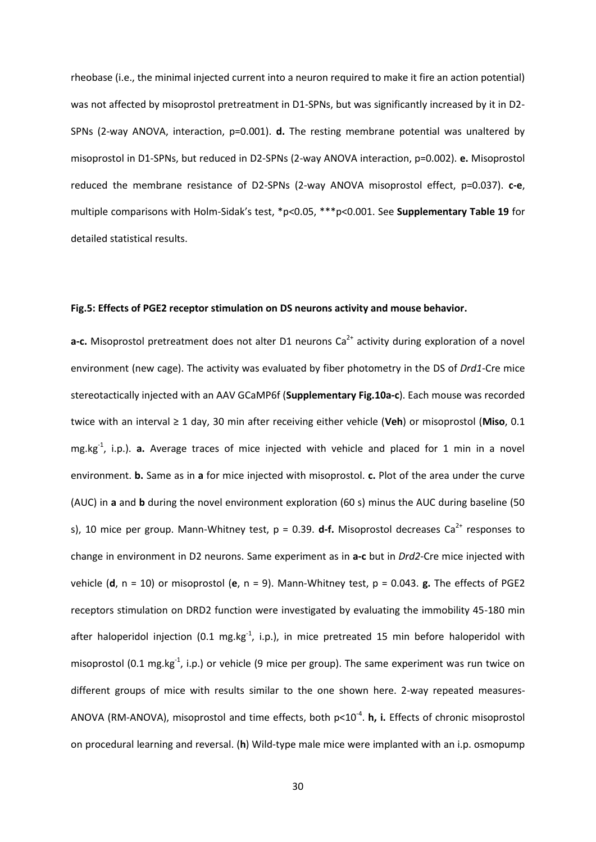rheobase (i.e., the minimal injected current into a neuron required to make it fire an action potential) was not affected by misoprostol pretreatment in D1-SPNs, but was significantly increased by it in D2- SPNs (2-way ANOVA, interaction, p=0.001). **d.** The resting membrane potential was unaltered by misoprostol in D1-SPNs, but reduced in D2-SPNs (2-way ANOVA interaction, p=0.002). **e.** Misoprostol reduced the membrane resistance of D2-SPNs (2-way ANOVA misoprostol effect, p=0.037). **c-e**, multiple comparisons with Holm-Sidak's test, \*p<0.05, \*\*\*p<0.001. See **Supplementary Table 19** for detailed statistical results.

#### **Fig.5: Effects of PGE2 receptor stimulation on DS neurons activity and mouse behavior.**

**a-c.** Misoprostol pretreatment does not alter D1 neurons Ca<sup>2+</sup> activity during exploration of a novel environment (new cage). The activity was evaluated by fiber photometry in the DS of *Drd1*-Cre mice stereotactically injected with an AAV GCaMP6f (**Supplementary Fig.10a-c**). Each mouse was recorded twice with an interval ≥ 1 day, 30 min after receiving either vehicle (**Veh**) or misoprostol (**Miso**, 0.1 mg.kg-1 , i.p.). **a.** Average traces of mice injected with vehicle and placed for 1 min in a novel environment. **b.** Same as in **a** for mice injected with misoprostol. **c.** Plot of the area under the curve (AUC) in **a** and **b** during the novel environment exploration (60 s) minus the AUC during baseline (50 s), 10 mice per group. Mann-Whitney test,  $p = 0.39$ . **d-f.** Misoprostol decreases Ca<sup>2+</sup> responses to change in environment in D2 neurons. Same experiment as in **a-c** but in *Drd2*-Cre mice injected with vehicle (**d**, n = 10) or misoprostol (**e**, n = 9). Mann-Whitney test, p = 0.043. **g.** The effects of PGE2 receptors stimulation on DRD2 function were investigated by evaluating the immobility 45-180 min after haloperidol injection (0.1 mg.kg<sup>-1</sup>, i.p.), in mice pretreated 15 min before haloperidol with misoprostol (0.1 mg.kg<sup>-1</sup>, i.p.) or vehicle (9 mice per group). The same experiment was run twice on different groups of mice with results similar to the one shown here. 2-way repeated measures-ANOVA (RM-ANOVA), misoprostol and time effects, both p<10<sup>-4</sup>. **h, i.** Effects of chronic misoprostol on procedural learning and reversal. (**h**) Wild-type male mice were implanted with an i.p. osmopump